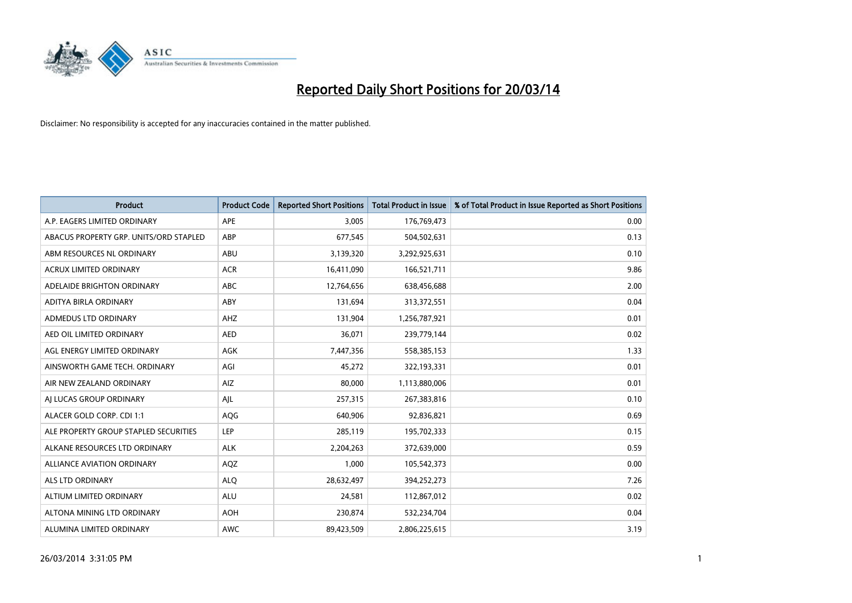

| <b>Product</b>                         | <b>Product Code</b> | <b>Reported Short Positions</b> | <b>Total Product in Issue</b> | % of Total Product in Issue Reported as Short Positions |
|----------------------------------------|---------------------|---------------------------------|-------------------------------|---------------------------------------------------------|
| A.P. EAGERS LIMITED ORDINARY           | <b>APE</b>          | 3,005                           | 176,769,473                   | 0.00                                                    |
| ABACUS PROPERTY GRP. UNITS/ORD STAPLED | ABP                 | 677,545                         | 504,502,631                   | 0.13                                                    |
| ABM RESOURCES NL ORDINARY              | ABU                 | 3,139,320                       | 3,292,925,631                 | 0.10                                                    |
| ACRUX LIMITED ORDINARY                 | <b>ACR</b>          | 16,411,090                      | 166,521,711                   | 9.86                                                    |
| ADELAIDE BRIGHTON ORDINARY             | <b>ABC</b>          | 12,764,656                      | 638,456,688                   | 2.00                                                    |
| ADITYA BIRLA ORDINARY                  | ABY                 | 131,694                         | 313,372,551                   | 0.04                                                    |
| <b>ADMEDUS LTD ORDINARY</b>            | AHZ                 | 131,904                         | 1,256,787,921                 | 0.01                                                    |
| AED OIL LIMITED ORDINARY               | <b>AED</b>          | 36,071                          | 239,779,144                   | 0.02                                                    |
| AGL ENERGY LIMITED ORDINARY            | AGK                 | 7,447,356                       | 558,385,153                   | 1.33                                                    |
| AINSWORTH GAME TECH. ORDINARY          | AGI                 | 45,272                          | 322,193,331                   | 0.01                                                    |
| AIR NEW ZEALAND ORDINARY               | AIZ                 | 80,000                          | 1,113,880,006                 | 0.01                                                    |
| AI LUCAS GROUP ORDINARY                | AJL                 | 257,315                         | 267,383,816                   | 0.10                                                    |
| ALACER GOLD CORP. CDI 1:1              | AQG                 | 640,906                         | 92,836,821                    | 0.69                                                    |
| ALE PROPERTY GROUP STAPLED SECURITIES  | LEP                 | 285,119                         | 195,702,333                   | 0.15                                                    |
| ALKANE RESOURCES LTD ORDINARY          | <b>ALK</b>          | 2,204,263                       | 372,639,000                   | 0.59                                                    |
| ALLIANCE AVIATION ORDINARY             | AQZ                 | 1,000                           | 105,542,373                   | 0.00                                                    |
| <b>ALS LTD ORDINARY</b>                | <b>ALO</b>          | 28,632,497                      | 394,252,273                   | 7.26                                                    |
| ALTIUM LIMITED ORDINARY                | <b>ALU</b>          | 24,581                          | 112,867,012                   | 0.02                                                    |
| ALTONA MINING LTD ORDINARY             | <b>AOH</b>          | 230,874                         | 532,234,704                   | 0.04                                                    |
| ALUMINA LIMITED ORDINARY               | <b>AWC</b>          | 89,423,509                      | 2,806,225,615                 | 3.19                                                    |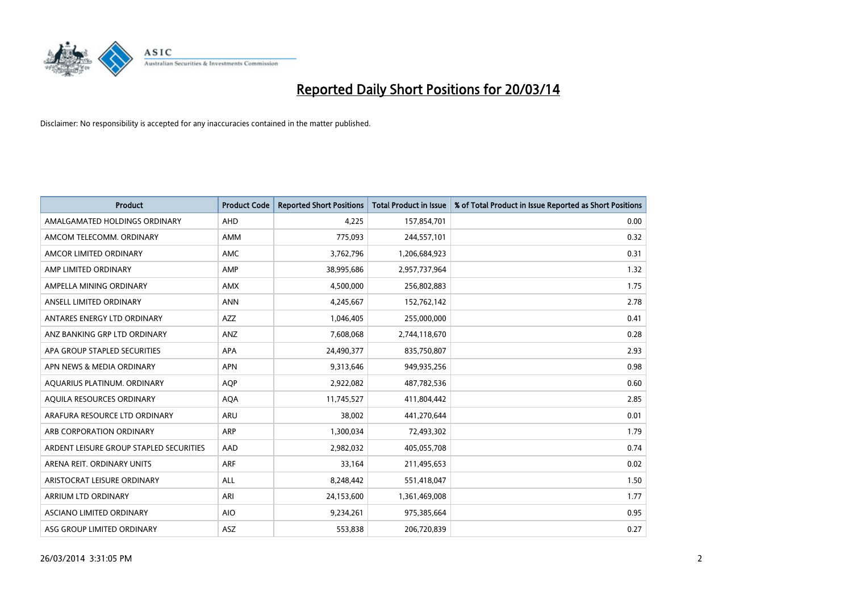

| <b>Product</b>                          | <b>Product Code</b> | <b>Reported Short Positions</b> | <b>Total Product in Issue</b> | % of Total Product in Issue Reported as Short Positions |
|-----------------------------------------|---------------------|---------------------------------|-------------------------------|---------------------------------------------------------|
| AMALGAMATED HOLDINGS ORDINARY           | <b>AHD</b>          | 4,225                           | 157,854,701                   | 0.00                                                    |
| AMCOM TELECOMM. ORDINARY                | <b>AMM</b>          | 775,093                         | 244,557,101                   | 0.32                                                    |
| AMCOR LIMITED ORDINARY                  | <b>AMC</b>          | 3,762,796                       | 1,206,684,923                 | 0.31                                                    |
| AMP LIMITED ORDINARY                    | AMP                 | 38,995,686                      | 2,957,737,964                 | 1.32                                                    |
| AMPELLA MINING ORDINARY                 | <b>AMX</b>          | 4,500,000                       | 256,802,883                   | 1.75                                                    |
| ANSELL LIMITED ORDINARY                 | <b>ANN</b>          | 4,245,667                       | 152,762,142                   | 2.78                                                    |
| ANTARES ENERGY LTD ORDINARY             | <b>AZZ</b>          | 1,046,405                       | 255,000,000                   | 0.41                                                    |
| ANZ BANKING GRP LTD ORDINARY            | ANZ                 | 7,608,068                       | 2,744,118,670                 | 0.28                                                    |
| APA GROUP STAPLED SECURITIES            | <b>APA</b>          | 24,490,377                      | 835,750,807                   | 2.93                                                    |
| APN NEWS & MEDIA ORDINARY               | <b>APN</b>          | 9,313,646                       | 949,935,256                   | 0.98                                                    |
| AQUARIUS PLATINUM. ORDINARY             | <b>AOP</b>          | 2,922,082                       | 487,782,536                   | 0.60                                                    |
| AQUILA RESOURCES ORDINARY               | <b>AQA</b>          | 11,745,527                      | 411,804,442                   | 2.85                                                    |
| ARAFURA RESOURCE LTD ORDINARY           | <b>ARU</b>          | 38,002                          | 441,270,644                   | 0.01                                                    |
| ARB CORPORATION ORDINARY                | <b>ARP</b>          | 1,300,034                       | 72,493,302                    | 1.79                                                    |
| ARDENT LEISURE GROUP STAPLED SECURITIES | AAD                 | 2,982,032                       | 405,055,708                   | 0.74                                                    |
| ARENA REIT. ORDINARY UNITS              | <b>ARF</b>          | 33,164                          | 211,495,653                   | 0.02                                                    |
| ARISTOCRAT LEISURE ORDINARY             | ALL                 | 8,248,442                       | 551,418,047                   | 1.50                                                    |
| ARRIUM LTD ORDINARY                     | ARI                 | 24,153,600                      | 1,361,469,008                 | 1.77                                                    |
| ASCIANO LIMITED ORDINARY                | <b>AIO</b>          | 9,234,261                       | 975,385,664                   | 0.95                                                    |
| ASG GROUP LIMITED ORDINARY              | ASZ                 | 553,838                         | 206,720,839                   | 0.27                                                    |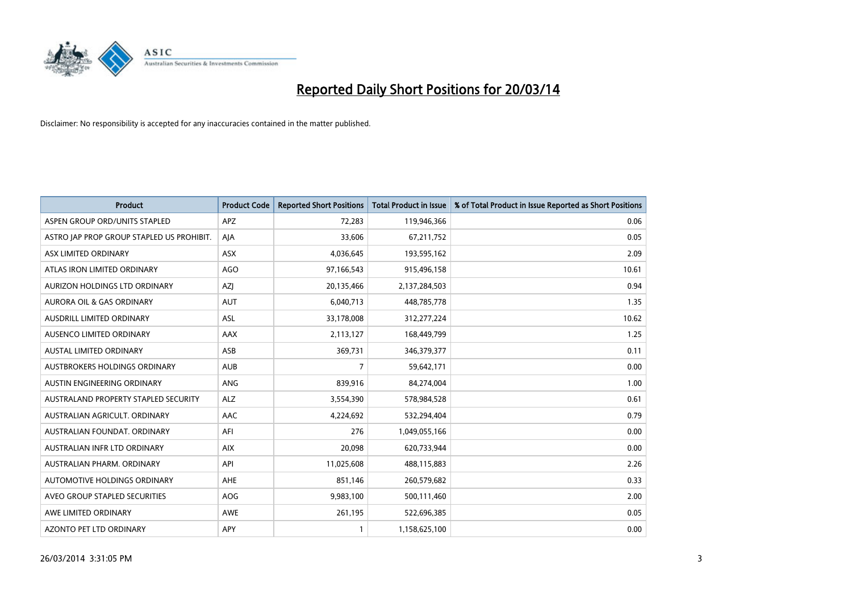

| <b>Product</b>                            | <b>Product Code</b> | <b>Reported Short Positions</b> | Total Product in Issue | % of Total Product in Issue Reported as Short Positions |
|-------------------------------------------|---------------------|---------------------------------|------------------------|---------------------------------------------------------|
| ASPEN GROUP ORD/UNITS STAPLED             | <b>APZ</b>          | 72,283                          | 119,946,366            | 0.06                                                    |
| ASTRO JAP PROP GROUP STAPLED US PROHIBIT. | AJA                 | 33,606                          | 67,211,752             | 0.05                                                    |
| ASX LIMITED ORDINARY                      | <b>ASX</b>          | 4,036,645                       | 193,595,162            | 2.09                                                    |
| ATLAS IRON LIMITED ORDINARY               | <b>AGO</b>          | 97,166,543                      | 915,496,158            | 10.61                                                   |
| AURIZON HOLDINGS LTD ORDINARY             | AZJ                 | 20,135,466                      | 2,137,284,503          | 0.94                                                    |
| AURORA OIL & GAS ORDINARY                 | <b>AUT</b>          | 6,040,713                       | 448,785,778            | 1.35                                                    |
| AUSDRILL LIMITED ORDINARY                 | <b>ASL</b>          | 33,178,008                      | 312,277,224            | 10.62                                                   |
| AUSENCO LIMITED ORDINARY                  | <b>AAX</b>          | 2,113,127                       | 168,449,799            | 1.25                                                    |
| <b>AUSTAL LIMITED ORDINARY</b>            | ASB                 | 369,731                         | 346, 379, 377          | 0.11                                                    |
| AUSTBROKERS HOLDINGS ORDINARY             | <b>AUB</b>          | 7                               | 59,642,171             | 0.00                                                    |
| AUSTIN ENGINEERING ORDINARY               | <b>ANG</b>          | 839,916                         | 84,274,004             | 1.00                                                    |
| AUSTRALAND PROPERTY STAPLED SECURITY      | <b>ALZ</b>          | 3,554,390                       | 578,984,528            | 0.61                                                    |
| AUSTRALIAN AGRICULT, ORDINARY             | <b>AAC</b>          | 4,224,692                       | 532,294,404            | 0.79                                                    |
| AUSTRALIAN FOUNDAT, ORDINARY              | AFI                 | 276                             | 1,049,055,166          | 0.00                                                    |
| AUSTRALIAN INFR LTD ORDINARY              | <b>AIX</b>          | 20,098                          | 620,733,944            | 0.00                                                    |
| AUSTRALIAN PHARM. ORDINARY                | API                 | 11,025,608                      | 488,115,883            | 2.26                                                    |
| AUTOMOTIVE HOLDINGS ORDINARY              | AHE                 | 851,146                         | 260,579,682            | 0.33                                                    |
| AVEO GROUP STAPLED SECURITIES             | AOG                 | 9,983,100                       | 500,111,460            | 2.00                                                    |
| AWE LIMITED ORDINARY                      | AWE                 | 261,195                         | 522,696,385            | 0.05                                                    |
| <b>AZONTO PET LTD ORDINARY</b>            | APY                 |                                 | 1,158,625,100          | 0.00                                                    |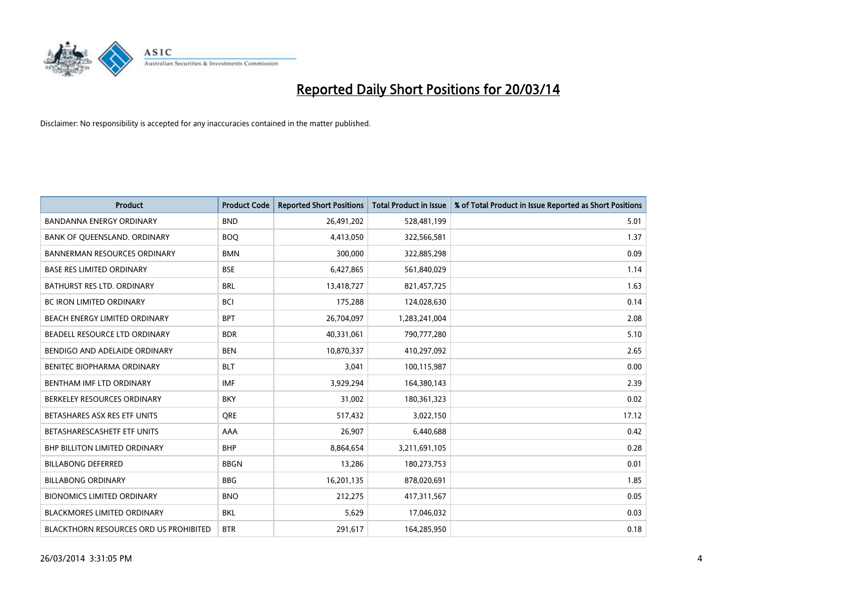

| <b>Product</b>                                | <b>Product Code</b> | <b>Reported Short Positions</b> | <b>Total Product in Issue</b> | % of Total Product in Issue Reported as Short Positions |
|-----------------------------------------------|---------------------|---------------------------------|-------------------------------|---------------------------------------------------------|
| <b>BANDANNA ENERGY ORDINARY</b>               | <b>BND</b>          | 26,491,202                      | 528,481,199                   | 5.01                                                    |
| BANK OF QUEENSLAND. ORDINARY                  | <b>BOQ</b>          | 4,413,050                       | 322,566,581                   | 1.37                                                    |
| <b>BANNERMAN RESOURCES ORDINARY</b>           | <b>BMN</b>          | 300,000                         | 322,885,298                   | 0.09                                                    |
| <b>BASE RES LIMITED ORDINARY</b>              | <b>BSE</b>          | 6,427,865                       | 561,840,029                   | 1.14                                                    |
| BATHURST RES LTD. ORDINARY                    | <b>BRL</b>          | 13,418,727                      | 821,457,725                   | 1.63                                                    |
| <b>BC IRON LIMITED ORDINARY</b>               | <b>BCI</b>          | 175,288                         | 124,028,630                   | 0.14                                                    |
| <b>BEACH ENERGY LIMITED ORDINARY</b>          | <b>BPT</b>          | 26,704,097                      | 1,283,241,004                 | 2.08                                                    |
| BEADELL RESOURCE LTD ORDINARY                 | <b>BDR</b>          | 40,331,061                      | 790,777,280                   | 5.10                                                    |
| BENDIGO AND ADELAIDE ORDINARY                 | <b>BEN</b>          | 10,870,337                      | 410,297,092                   | 2.65                                                    |
| BENITEC BIOPHARMA ORDINARY                    | <b>BLT</b>          | 3,041                           | 100,115,987                   | 0.00                                                    |
| BENTHAM IMF LTD ORDINARY                      | <b>IMF</b>          | 3,929,294                       | 164,380,143                   | 2.39                                                    |
| BERKELEY RESOURCES ORDINARY                   | <b>BKY</b>          | 31,002                          | 180,361,323                   | 0.02                                                    |
| BETASHARES ASX RES ETF UNITS                  | <b>ORE</b>          | 517,432                         | 3,022,150                     | 17.12                                                   |
| BETASHARESCASHETF ETF UNITS                   | AAA                 | 26,907                          | 6,440,688                     | 0.42                                                    |
| <b>BHP BILLITON LIMITED ORDINARY</b>          | <b>BHP</b>          | 8,864,654                       | 3,211,691,105                 | 0.28                                                    |
| <b>BILLABONG DEFERRED</b>                     | <b>BBGN</b>         | 13,286                          | 180,273,753                   | 0.01                                                    |
| <b>BILLABONG ORDINARY</b>                     | <b>BBG</b>          | 16,201,135                      | 878,020,691                   | 1.85                                                    |
| <b>BIONOMICS LIMITED ORDINARY</b>             | <b>BNO</b>          | 212,275                         | 417,311,567                   | 0.05                                                    |
| <b>BLACKMORES LIMITED ORDINARY</b>            | <b>BKL</b>          | 5,629                           | 17,046,032                    | 0.03                                                    |
| <b>BLACKTHORN RESOURCES ORD US PROHIBITED</b> | <b>BTR</b>          | 291,617                         | 164,285,950                   | 0.18                                                    |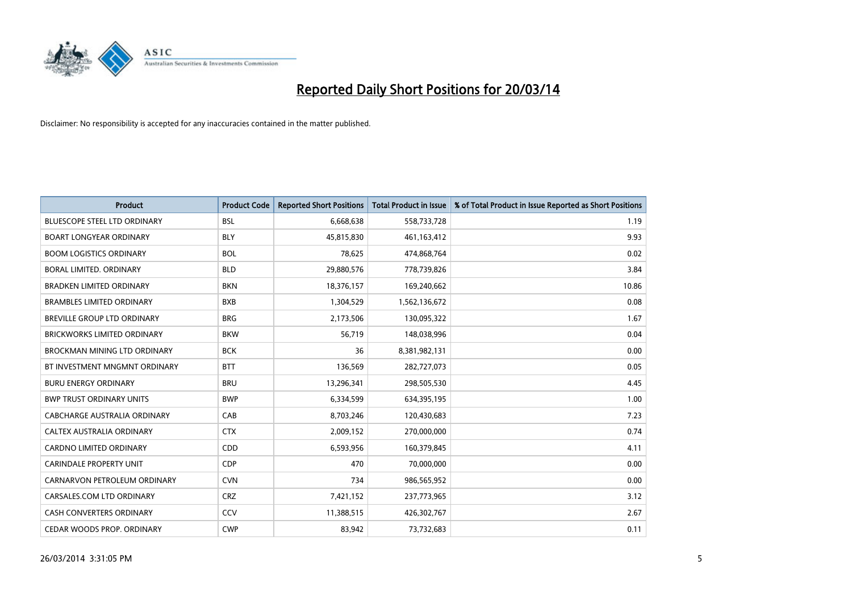

| <b>Product</b>                      | <b>Product Code</b> | <b>Reported Short Positions</b> | <b>Total Product in Issue</b> | % of Total Product in Issue Reported as Short Positions |
|-------------------------------------|---------------------|---------------------------------|-------------------------------|---------------------------------------------------------|
| <b>BLUESCOPE STEEL LTD ORDINARY</b> | <b>BSL</b>          | 6,668,638                       | 558,733,728                   | 1.19                                                    |
| <b>BOART LONGYEAR ORDINARY</b>      | <b>BLY</b>          | 45,815,830                      | 461,163,412                   | 9.93                                                    |
| <b>BOOM LOGISTICS ORDINARY</b>      | <b>BOL</b>          | 78.625                          | 474,868,764                   | 0.02                                                    |
| BORAL LIMITED. ORDINARY             | <b>BLD</b>          | 29,880,576                      | 778,739,826                   | 3.84                                                    |
| <b>BRADKEN LIMITED ORDINARY</b>     | <b>BKN</b>          | 18,376,157                      | 169,240,662                   | 10.86                                                   |
| <b>BRAMBLES LIMITED ORDINARY</b>    | <b>BXB</b>          | 1,304,529                       | 1,562,136,672                 | 0.08                                                    |
| <b>BREVILLE GROUP LTD ORDINARY</b>  | <b>BRG</b>          | 2,173,506                       | 130,095,322                   | 1.67                                                    |
| <b>BRICKWORKS LIMITED ORDINARY</b>  | <b>BKW</b>          | 56,719                          | 148,038,996                   | 0.04                                                    |
| BROCKMAN MINING LTD ORDINARY        | <b>BCK</b>          | 36                              | 8,381,982,131                 | 0.00                                                    |
| BT INVESTMENT MNGMNT ORDINARY       | <b>BTT</b>          | 136,569                         | 282,727,073                   | 0.05                                                    |
| <b>BURU ENERGY ORDINARY</b>         | <b>BRU</b>          | 13,296,341                      | 298,505,530                   | 4.45                                                    |
| <b>BWP TRUST ORDINARY UNITS</b>     | <b>BWP</b>          | 6,334,599                       | 634,395,195                   | 1.00                                                    |
| CABCHARGE AUSTRALIA ORDINARY        | CAB                 | 8,703,246                       | 120,430,683                   | 7.23                                                    |
| <b>CALTEX AUSTRALIA ORDINARY</b>    | <b>CTX</b>          | 2,009,152                       | 270,000,000                   | 0.74                                                    |
| <b>CARDNO LIMITED ORDINARY</b>      | <b>CDD</b>          | 6,593,956                       | 160,379,845                   | 4.11                                                    |
| <b>CARINDALE PROPERTY UNIT</b>      | <b>CDP</b>          | 470                             | 70,000,000                    | 0.00                                                    |
| CARNARVON PETROLEUM ORDINARY        | <b>CVN</b>          | 734                             | 986,565,952                   | 0.00                                                    |
| CARSALES.COM LTD ORDINARY           | CRZ                 | 7,421,152                       | 237,773,965                   | 3.12                                                    |
| <b>CASH CONVERTERS ORDINARY</b>     | CCV                 | 11,388,515                      | 426,302,767                   | 2.67                                                    |
| CEDAR WOODS PROP. ORDINARY          | <b>CWP</b>          | 83.942                          | 73,732,683                    | 0.11                                                    |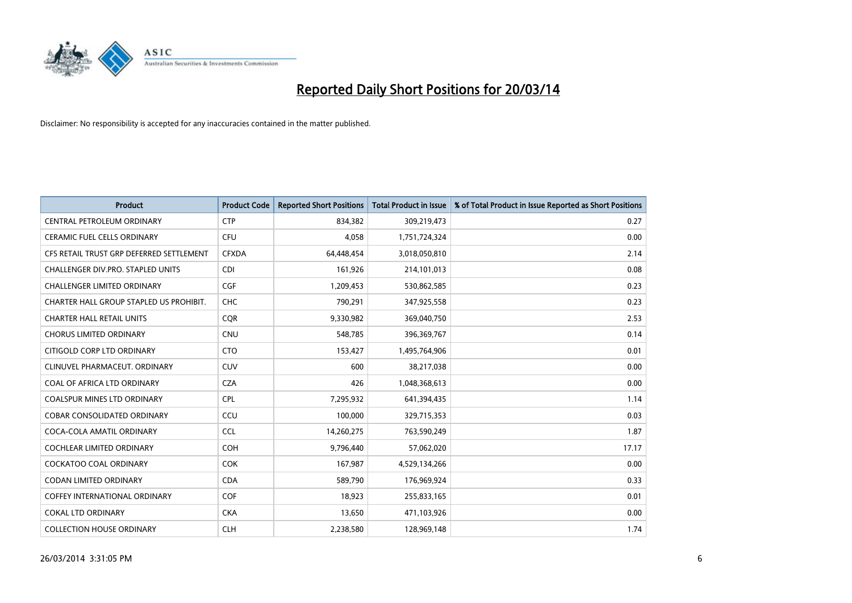

| <b>Product</b>                           | <b>Product Code</b> | <b>Reported Short Positions</b> | Total Product in Issue | % of Total Product in Issue Reported as Short Positions |
|------------------------------------------|---------------------|---------------------------------|------------------------|---------------------------------------------------------|
| <b>CENTRAL PETROLEUM ORDINARY</b>        | <b>CTP</b>          | 834,382                         | 309,219,473            | 0.27                                                    |
| CERAMIC FUEL CELLS ORDINARY              | CFU                 | 4,058                           | 1,751,724,324          | 0.00                                                    |
| CFS RETAIL TRUST GRP DEFERRED SETTLEMENT | <b>CFXDA</b>        | 64,448,454                      | 3,018,050,810          | 2.14                                                    |
| CHALLENGER DIV.PRO. STAPLED UNITS        | <b>CDI</b>          | 161,926                         | 214,101,013            | 0.08                                                    |
| <b>CHALLENGER LIMITED ORDINARY</b>       | <b>CGF</b>          | 1,209,453                       | 530,862,585            | 0.23                                                    |
| CHARTER HALL GROUP STAPLED US PROHIBIT.  | <b>CHC</b>          | 790,291                         | 347,925,558            | 0.23                                                    |
| <b>CHARTER HALL RETAIL UNITS</b>         | <b>COR</b>          | 9,330,982                       | 369,040,750            | 2.53                                                    |
| <b>CHORUS LIMITED ORDINARY</b>           | <b>CNU</b>          | 548,785                         | 396,369,767            | 0.14                                                    |
| CITIGOLD CORP LTD ORDINARY               | <b>CTO</b>          | 153,427                         | 1,495,764,906          | 0.01                                                    |
| CLINUVEL PHARMACEUT, ORDINARY            | <b>CUV</b>          | 600                             | 38,217,038             | 0.00                                                    |
| COAL OF AFRICA LTD ORDINARY              | <b>CZA</b>          | 426                             | 1,048,368,613          | 0.00                                                    |
| <b>COALSPUR MINES LTD ORDINARY</b>       | <b>CPL</b>          | 7,295,932                       | 641,394,435            | 1.14                                                    |
| COBAR CONSOLIDATED ORDINARY              | CCU                 | 100,000                         | 329,715,353            | 0.03                                                    |
| COCA-COLA AMATIL ORDINARY                | <b>CCL</b>          | 14,260,275                      | 763,590,249            | 1.87                                                    |
| <b>COCHLEAR LIMITED ORDINARY</b>         | COH                 | 9,796,440                       | 57,062,020             | 17.17                                                   |
| COCKATOO COAL ORDINARY                   | <b>COK</b>          | 167,987                         | 4,529,134,266          | 0.00                                                    |
| CODAN LIMITED ORDINARY                   | <b>CDA</b>          | 589,790                         | 176,969,924            | 0.33                                                    |
| <b>COFFEY INTERNATIONAL ORDINARY</b>     | <b>COF</b>          | 18,923                          | 255,833,165            | 0.01                                                    |
| <b>COKAL LTD ORDINARY</b>                | <b>CKA</b>          | 13,650                          | 471,103,926            | 0.00                                                    |
| <b>COLLECTION HOUSE ORDINARY</b>         | <b>CLH</b>          | 2,238,580                       | 128,969,148            | 1.74                                                    |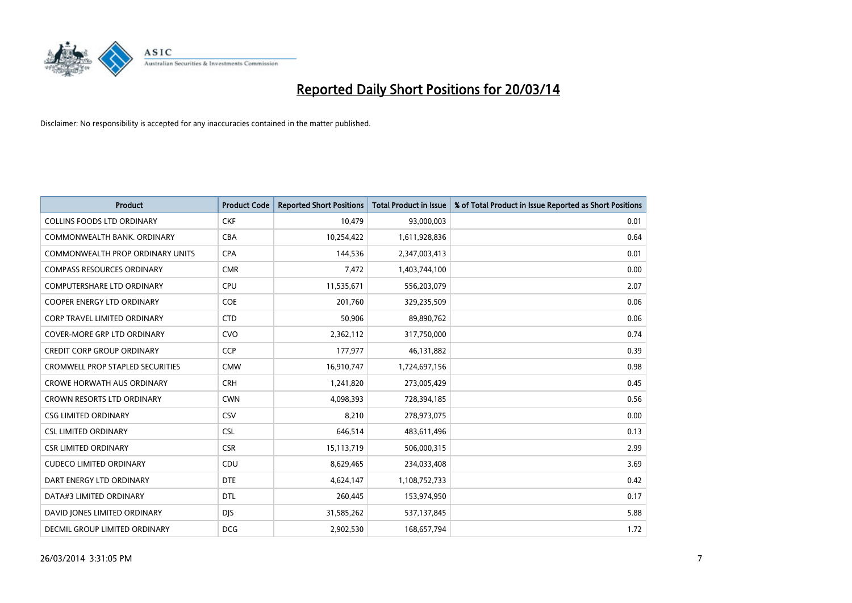

| <b>Product</b>                          | <b>Product Code</b> | <b>Reported Short Positions</b> | Total Product in Issue | % of Total Product in Issue Reported as Short Positions |
|-----------------------------------------|---------------------|---------------------------------|------------------------|---------------------------------------------------------|
| <b>COLLINS FOODS LTD ORDINARY</b>       | <b>CKF</b>          | 10,479                          | 93,000,003             | 0.01                                                    |
| COMMONWEALTH BANK, ORDINARY             | <b>CBA</b>          | 10,254,422                      | 1,611,928,836          | 0.64                                                    |
| COMMONWEALTH PROP ORDINARY UNITS        | <b>CPA</b>          | 144,536                         | 2,347,003,413          | 0.01                                                    |
| <b>COMPASS RESOURCES ORDINARY</b>       | <b>CMR</b>          | 7,472                           | 1,403,744,100          | 0.00                                                    |
| <b>COMPUTERSHARE LTD ORDINARY</b>       | <b>CPU</b>          | 11,535,671                      | 556,203,079            | 2.07                                                    |
| <b>COOPER ENERGY LTD ORDINARY</b>       | COE                 | 201,760                         | 329,235,509            | 0.06                                                    |
| <b>CORP TRAVEL LIMITED ORDINARY</b>     | <b>CTD</b>          | 50,906                          | 89,890,762             | 0.06                                                    |
| <b>COVER-MORE GRP LTD ORDINARY</b>      | <b>CVO</b>          | 2,362,112                       | 317,750,000            | 0.74                                                    |
| <b>CREDIT CORP GROUP ORDINARY</b>       | <b>CCP</b>          | 177,977                         | 46,131,882             | 0.39                                                    |
| <b>CROMWELL PROP STAPLED SECURITIES</b> | <b>CMW</b>          | 16,910,747                      | 1,724,697,156          | 0.98                                                    |
| <b>CROWE HORWATH AUS ORDINARY</b>       | <b>CRH</b>          | 1,241,820                       | 273,005,429            | 0.45                                                    |
| <b>CROWN RESORTS LTD ORDINARY</b>       | <b>CWN</b>          | 4,098,393                       | 728,394,185            | 0.56                                                    |
| <b>CSG LIMITED ORDINARY</b>             | CSV                 | 8.210                           | 278,973,075            | 0.00                                                    |
| <b>CSL LIMITED ORDINARY</b>             | <b>CSL</b>          | 646,514                         | 483,611,496            | 0.13                                                    |
| <b>CSR LIMITED ORDINARY</b>             | <b>CSR</b>          | 15,113,719                      | 506,000,315            | 2.99                                                    |
| <b>CUDECO LIMITED ORDINARY</b>          | CDU                 | 8,629,465                       | 234,033,408            | 3.69                                                    |
| DART ENERGY LTD ORDINARY                | <b>DTE</b>          | 4,624,147                       | 1,108,752,733          | 0.42                                                    |
| DATA#3 LIMITED ORDINARY                 | <b>DTL</b>          | 260,445                         | 153,974,950            | 0.17                                                    |
| DAVID JONES LIMITED ORDINARY            | <b>DJS</b>          | 31,585,262                      | 537,137,845            | 5.88                                                    |
| DECMIL GROUP LIMITED ORDINARY           | <b>DCG</b>          | 2.902.530                       | 168,657,794            | 1.72                                                    |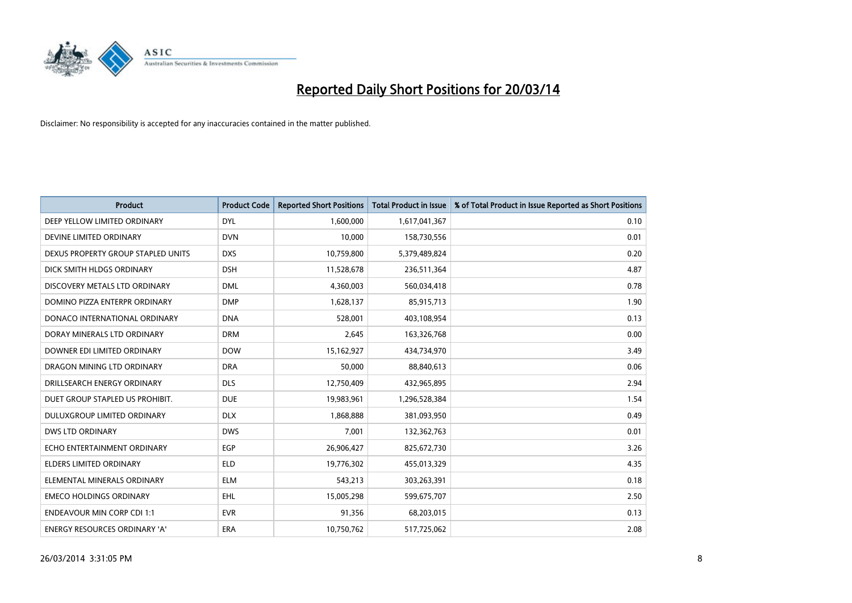

| <b>Product</b>                       | <b>Product Code</b> | <b>Reported Short Positions</b> | <b>Total Product in Issue</b> | % of Total Product in Issue Reported as Short Positions |
|--------------------------------------|---------------------|---------------------------------|-------------------------------|---------------------------------------------------------|
| DEEP YELLOW LIMITED ORDINARY         | <b>DYL</b>          | 1,600,000                       | 1,617,041,367                 | 0.10                                                    |
| DEVINE LIMITED ORDINARY              | <b>DVN</b>          | 10,000                          | 158,730,556                   | 0.01                                                    |
| DEXUS PROPERTY GROUP STAPLED UNITS   | <b>DXS</b>          | 10,759,800                      | 5,379,489,824                 | 0.20                                                    |
| DICK SMITH HLDGS ORDINARY            | <b>DSH</b>          | 11,528,678                      | 236,511,364                   | 4.87                                                    |
| DISCOVERY METALS LTD ORDINARY        | <b>DML</b>          | 4,360,003                       | 560,034,418                   | 0.78                                                    |
| DOMINO PIZZA ENTERPR ORDINARY        | <b>DMP</b>          | 1,628,137                       | 85,915,713                    | 1.90                                                    |
| DONACO INTERNATIONAL ORDINARY        | <b>DNA</b>          | 528.001                         | 403,108,954                   | 0.13                                                    |
| DORAY MINERALS LTD ORDINARY          | <b>DRM</b>          | 2,645                           | 163,326,768                   | 0.00                                                    |
| DOWNER EDI LIMITED ORDINARY          | <b>DOW</b>          | 15,162,927                      | 434,734,970                   | 3.49                                                    |
| DRAGON MINING LTD ORDINARY           | <b>DRA</b>          | 50,000                          | 88,840,613                    | 0.06                                                    |
| DRILLSEARCH ENERGY ORDINARY          | <b>DLS</b>          | 12,750,409                      | 432,965,895                   | 2.94                                                    |
| DUET GROUP STAPLED US PROHIBIT.      | <b>DUE</b>          | 19,983,961                      | 1,296,528,384                 | 1.54                                                    |
| DULUXGROUP LIMITED ORDINARY          | <b>DLX</b>          | 1,868,888                       | 381,093,950                   | 0.49                                                    |
| <b>DWS LTD ORDINARY</b>              | <b>DWS</b>          | 7,001                           | 132,362,763                   | 0.01                                                    |
| ECHO ENTERTAINMENT ORDINARY          | EGP                 | 26,906,427                      | 825,672,730                   | 3.26                                                    |
| ELDERS LIMITED ORDINARY              | <b>ELD</b>          | 19,776,302                      | 455,013,329                   | 4.35                                                    |
| ELEMENTAL MINERALS ORDINARY          | <b>ELM</b>          | 543,213                         | 303,263,391                   | 0.18                                                    |
| <b>EMECO HOLDINGS ORDINARY</b>       | <b>EHL</b>          | 15,005,298                      | 599,675,707                   | 2.50                                                    |
| <b>ENDEAVOUR MIN CORP CDI 1:1</b>    | <b>EVR</b>          | 91,356                          | 68,203,015                    | 0.13                                                    |
| <b>ENERGY RESOURCES ORDINARY 'A'</b> | ERA                 | 10,750,762                      | 517,725,062                   | 2.08                                                    |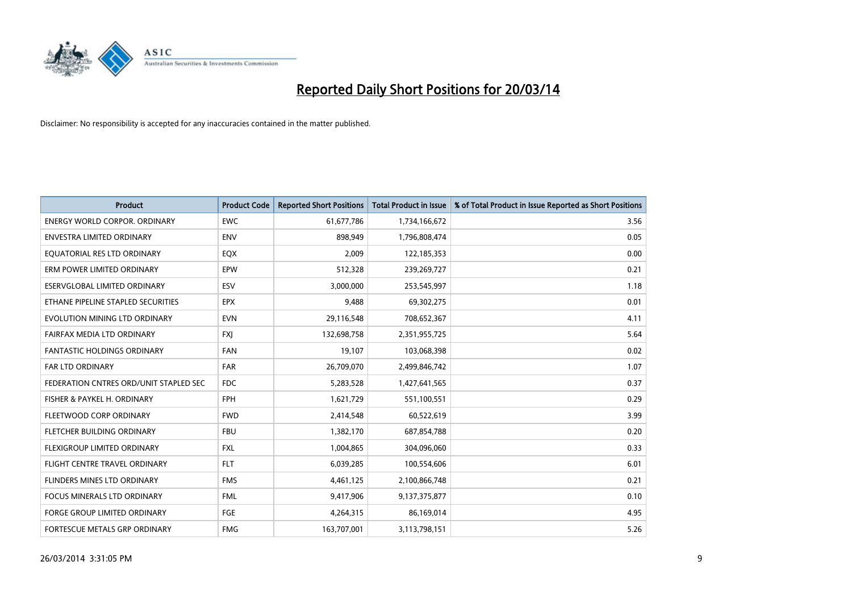

| <b>Product</b>                         | <b>Product Code</b> | <b>Reported Short Positions</b> | <b>Total Product in Issue</b> | % of Total Product in Issue Reported as Short Positions |
|----------------------------------------|---------------------|---------------------------------|-------------------------------|---------------------------------------------------------|
| <b>ENERGY WORLD CORPOR, ORDINARY</b>   | <b>EWC</b>          | 61,677,786                      | 1,734,166,672                 | 3.56                                                    |
| ENVESTRA LIMITED ORDINARY              | <b>ENV</b>          | 898,949                         | 1,796,808,474                 | 0.05                                                    |
| EQUATORIAL RES LTD ORDINARY            | <b>EQX</b>          | 2,009                           | 122,185,353                   | 0.00                                                    |
| ERM POWER LIMITED ORDINARY             | EPW                 | 512,328                         | 239,269,727                   | 0.21                                                    |
| ESERVGLOBAL LIMITED ORDINARY           | ESV                 | 3,000,000                       | 253,545,997                   | 1.18                                                    |
| ETHANE PIPELINE STAPLED SECURITIES     | <b>EPX</b>          | 9,488                           | 69,302,275                    | 0.01                                                    |
| EVOLUTION MINING LTD ORDINARY          | <b>EVN</b>          | 29,116,548                      | 708,652,367                   | 4.11                                                    |
| FAIRFAX MEDIA LTD ORDINARY             | <b>FXJ</b>          | 132,698,758                     | 2,351,955,725                 | 5.64                                                    |
| FANTASTIC HOLDINGS ORDINARY            | <b>FAN</b>          | 19,107                          | 103,068,398                   | 0.02                                                    |
| <b>FAR LTD ORDINARY</b>                | <b>FAR</b>          | 26,709,070                      | 2,499,846,742                 | 1.07                                                    |
| FEDERATION CNTRES ORD/UNIT STAPLED SEC | FDC                 | 5,283,528                       | 1,427,641,565                 | 0.37                                                    |
| FISHER & PAYKEL H. ORDINARY            | <b>FPH</b>          | 1,621,729                       | 551,100,551                   | 0.29                                                    |
| FLEETWOOD CORP ORDINARY                | <b>FWD</b>          | 2,414,548                       | 60,522,619                    | 3.99                                                    |
| FLETCHER BUILDING ORDINARY             | <b>FBU</b>          | 1,382,170                       | 687,854,788                   | 0.20                                                    |
| FLEXIGROUP LIMITED ORDINARY            | <b>FXL</b>          | 1,004,865                       | 304,096,060                   | 0.33                                                    |
| FLIGHT CENTRE TRAVEL ORDINARY          | <b>FLT</b>          | 6,039,285                       | 100,554,606                   | 6.01                                                    |
| FLINDERS MINES LTD ORDINARY            | <b>FMS</b>          | 4,461,125                       | 2,100,866,748                 | 0.21                                                    |
| FOCUS MINERALS LTD ORDINARY            | <b>FML</b>          | 9,417,906                       | 9,137,375,877                 | 0.10                                                    |
| <b>FORGE GROUP LIMITED ORDINARY</b>    | FGE                 | 4,264,315                       | 86,169,014                    | 4.95                                                    |
| FORTESCUE METALS GRP ORDINARY          | <b>FMG</b>          | 163,707,001                     | 3,113,798,151                 | 5.26                                                    |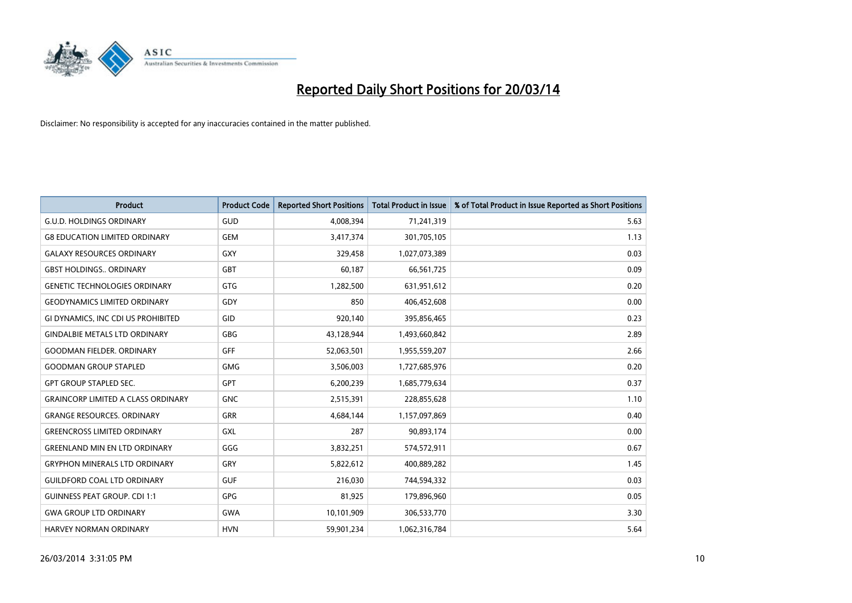

| <b>Product</b>                            | <b>Product Code</b> | <b>Reported Short Positions</b> | <b>Total Product in Issue</b> | % of Total Product in Issue Reported as Short Positions |
|-------------------------------------------|---------------------|---------------------------------|-------------------------------|---------------------------------------------------------|
| <b>G.U.D. HOLDINGS ORDINARY</b>           | GUD                 | 4,008,394                       | 71,241,319                    | 5.63                                                    |
| <b>G8 EDUCATION LIMITED ORDINARY</b>      | <b>GEM</b>          | 3,417,374                       | 301,705,105                   | 1.13                                                    |
| <b>GALAXY RESOURCES ORDINARY</b>          | <b>GXY</b>          | 329,458                         | 1,027,073,389                 | 0.03                                                    |
| <b>GBST HOLDINGS ORDINARY</b>             | <b>GBT</b>          | 60,187                          | 66,561,725                    | 0.09                                                    |
| <b>GENETIC TECHNOLOGIES ORDINARY</b>      | <b>GTG</b>          | 1,282,500                       | 631,951,612                   | 0.20                                                    |
| <b>GEODYNAMICS LIMITED ORDINARY</b>       | GDY                 | 850                             | 406,452,608                   | 0.00                                                    |
| GI DYNAMICS, INC CDI US PROHIBITED        | GID                 | 920,140                         | 395,856,465                   | 0.23                                                    |
| <b>GINDALBIE METALS LTD ORDINARY</b>      | <b>GBG</b>          | 43,128,944                      | 1,493,660,842                 | 2.89                                                    |
| <b>GOODMAN FIELDER, ORDINARY</b>          | <b>GFF</b>          | 52,063,501                      | 1,955,559,207                 | 2.66                                                    |
| <b>GOODMAN GROUP STAPLED</b>              | <b>GMG</b>          | 3,506,003                       | 1,727,685,976                 | 0.20                                                    |
| <b>GPT GROUP STAPLED SEC.</b>             | <b>GPT</b>          | 6,200,239                       | 1,685,779,634                 | 0.37                                                    |
| <b>GRAINCORP LIMITED A CLASS ORDINARY</b> | <b>GNC</b>          | 2,515,391                       | 228,855,628                   | 1.10                                                    |
| <b>GRANGE RESOURCES, ORDINARY</b>         | <b>GRR</b>          | 4,684,144                       | 1,157,097,869                 | 0.40                                                    |
| <b>GREENCROSS LIMITED ORDINARY</b>        | GXL                 | 287                             | 90,893,174                    | 0.00                                                    |
| <b>GREENLAND MIN EN LTD ORDINARY</b>      | GGG                 | 3,832,251                       | 574,572,911                   | 0.67                                                    |
| <b>GRYPHON MINERALS LTD ORDINARY</b>      | GRY                 | 5,822,612                       | 400,889,282                   | 1.45                                                    |
| <b>GUILDFORD COAL LTD ORDINARY</b>        | <b>GUF</b>          | 216,030                         | 744,594,332                   | 0.03                                                    |
| <b>GUINNESS PEAT GROUP. CDI 1:1</b>       | GPG                 | 81,925                          | 179,896,960                   | 0.05                                                    |
| <b>GWA GROUP LTD ORDINARY</b>             | <b>GWA</b>          | 10,101,909                      | 306,533,770                   | 3.30                                                    |
| <b>HARVEY NORMAN ORDINARY</b>             | <b>HVN</b>          | 59,901,234                      | 1,062,316,784                 | 5.64                                                    |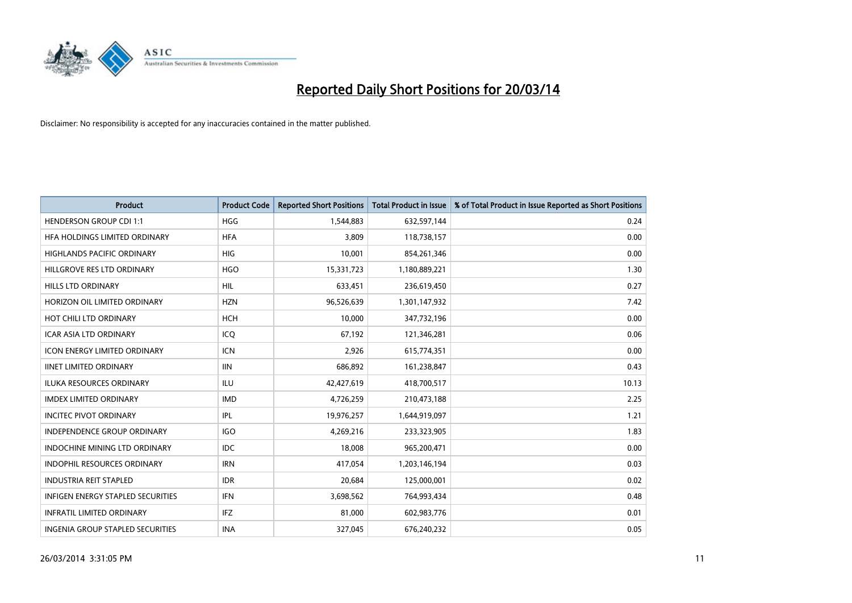

| <b>Product</b>                       | <b>Product Code</b> | <b>Reported Short Positions</b> | <b>Total Product in Issue</b> | % of Total Product in Issue Reported as Short Positions |
|--------------------------------------|---------------------|---------------------------------|-------------------------------|---------------------------------------------------------|
| <b>HENDERSON GROUP CDI 1:1</b>       | <b>HGG</b>          | 1,544,883                       | 632,597,144                   | 0.24                                                    |
| HFA HOLDINGS LIMITED ORDINARY        | <b>HFA</b>          | 3.809                           | 118,738,157                   | 0.00                                                    |
| <b>HIGHLANDS PACIFIC ORDINARY</b>    | HIG                 | 10,001                          | 854,261,346                   | 0.00                                                    |
| HILLGROVE RES LTD ORDINARY           | <b>HGO</b>          | 15,331,723                      | 1,180,889,221                 | 1.30                                                    |
| <b>HILLS LTD ORDINARY</b>            | <b>HIL</b>          | 633,451                         | 236,619,450                   | 0.27                                                    |
| HORIZON OIL LIMITED ORDINARY         | <b>HZN</b>          | 96,526,639                      | 1,301,147,932                 | 7.42                                                    |
| HOT CHILI LTD ORDINARY               | <b>HCH</b>          | 10.000                          | 347,732,196                   | 0.00                                                    |
| <b>ICAR ASIA LTD ORDINARY</b>        | ICO                 | 67,192                          | 121,346,281                   | 0.06                                                    |
| <b>ICON ENERGY LIMITED ORDINARY</b>  | <b>ICN</b>          | 2,926                           | 615,774,351                   | 0.00                                                    |
| <b>IINET LIMITED ORDINARY</b>        | <b>IIN</b>          | 686,892                         | 161,238,847                   | 0.43                                                    |
| <b>ILUKA RESOURCES ORDINARY</b>      | ILU                 | 42,427,619                      | 418,700,517                   | 10.13                                                   |
| <b>IMDEX LIMITED ORDINARY</b>        | <b>IMD</b>          | 4,726,259                       | 210,473,188                   | 2.25                                                    |
| <b>INCITEC PIVOT ORDINARY</b>        | IPL                 | 19,976,257                      | 1,644,919,097                 | 1.21                                                    |
| <b>INDEPENDENCE GROUP ORDINARY</b>   | <b>IGO</b>          | 4,269,216                       | 233,323,905                   | 1.83                                                    |
| <b>INDOCHINE MINING LTD ORDINARY</b> | <b>IDC</b>          | 18,008                          | 965,200,471                   | 0.00                                                    |
| <b>INDOPHIL RESOURCES ORDINARY</b>   | <b>IRN</b>          | 417,054                         | 1,203,146,194                 | 0.03                                                    |
| <b>INDUSTRIA REIT STAPLED</b>        | <b>IDR</b>          | 20,684                          | 125,000,001                   | 0.02                                                    |
| INFIGEN ENERGY STAPLED SECURITIES    | <b>IFN</b>          | 3,698,562                       | 764,993,434                   | 0.48                                                    |
| <b>INFRATIL LIMITED ORDINARY</b>     | <b>IFZ</b>          | 81,000                          | 602,983,776                   | 0.01                                                    |
| INGENIA GROUP STAPLED SECURITIES     | <b>INA</b>          | 327,045                         | 676.240.232                   | 0.05                                                    |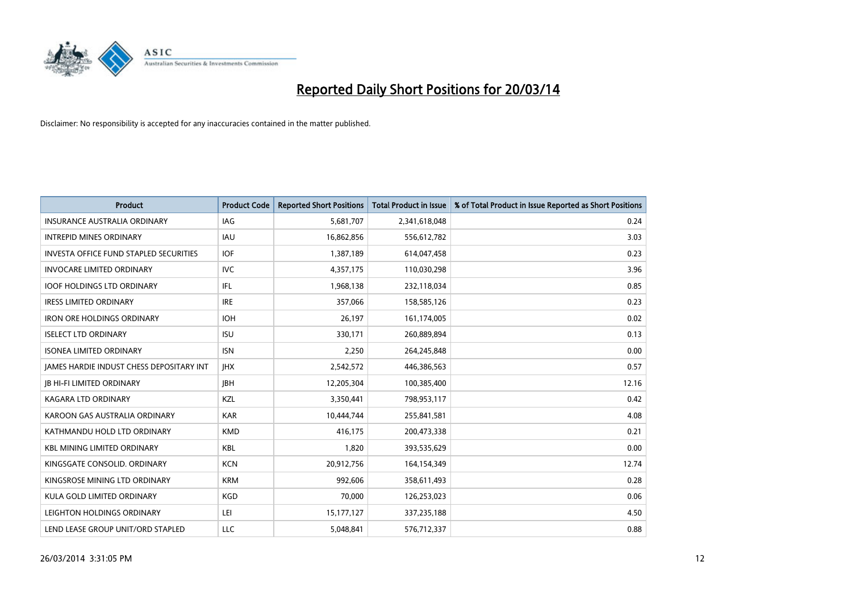

| <b>Product</b>                                  | <b>Product Code</b> | <b>Reported Short Positions</b> | <b>Total Product in Issue</b> | % of Total Product in Issue Reported as Short Positions |
|-------------------------------------------------|---------------------|---------------------------------|-------------------------------|---------------------------------------------------------|
| <b>INSURANCE AUSTRALIA ORDINARY</b>             | IAG                 | 5,681,707                       | 2,341,618,048                 | 0.24                                                    |
| <b>INTREPID MINES ORDINARY</b>                  | <b>IAU</b>          | 16,862,856                      | 556,612,782                   | 3.03                                                    |
| <b>INVESTA OFFICE FUND STAPLED SECURITIES</b>   | <b>IOF</b>          | 1,387,189                       | 614,047,458                   | 0.23                                                    |
| <b>INVOCARE LIMITED ORDINARY</b>                | <b>IVC</b>          | 4,357,175                       | 110,030,298                   | 3.96                                                    |
| <b>IOOF HOLDINGS LTD ORDINARY</b>               | <b>IFL</b>          | 1,968,138                       | 232,118,034                   | 0.85                                                    |
| <b>IRESS LIMITED ORDINARY</b>                   | <b>IRE</b>          | 357,066                         | 158,585,126                   | 0.23                                                    |
| <b>IRON ORE HOLDINGS ORDINARY</b>               | <b>IOH</b>          | 26,197                          | 161,174,005                   | 0.02                                                    |
| <b>ISELECT LTD ORDINARY</b>                     | <b>ISU</b>          | 330,171                         | 260,889,894                   | 0.13                                                    |
| <b>ISONEA LIMITED ORDINARY</b>                  | <b>ISN</b>          | 2,250                           | 264,245,848                   | 0.00                                                    |
| <b>IAMES HARDIE INDUST CHESS DEPOSITARY INT</b> | <b>IHX</b>          | 2,542,572                       | 446,386,563                   | 0.57                                                    |
| <b>IB HI-FI LIMITED ORDINARY</b>                | <b>IBH</b>          | 12,205,304                      | 100,385,400                   | 12.16                                                   |
| <b>KAGARA LTD ORDINARY</b>                      | KZL                 | 3,350,441                       | 798,953,117                   | 0.42                                                    |
| KAROON GAS AUSTRALIA ORDINARY                   | <b>KAR</b>          | 10,444,744                      | 255,841,581                   | 4.08                                                    |
| KATHMANDU HOLD LTD ORDINARY                     | <b>KMD</b>          | 416.175                         | 200,473,338                   | 0.21                                                    |
| <b>KBL MINING LIMITED ORDINARY</b>              | <b>KBL</b>          | 1,820                           | 393,535,629                   | 0.00                                                    |
| KINGSGATE CONSOLID. ORDINARY                    | <b>KCN</b>          | 20,912,756                      | 164,154,349                   | 12.74                                                   |
| KINGSROSE MINING LTD ORDINARY                   | <b>KRM</b>          | 992,606                         | 358,611,493                   | 0.28                                                    |
| KULA GOLD LIMITED ORDINARY                      | <b>KGD</b>          | 70,000                          | 126,253,023                   | 0.06                                                    |
| LEIGHTON HOLDINGS ORDINARY                      | LEI                 | 15, 177, 127                    | 337,235,188                   | 4.50                                                    |
| LEND LEASE GROUP UNIT/ORD STAPLED               | LLC                 | 5,048,841                       | 576,712,337                   | 0.88                                                    |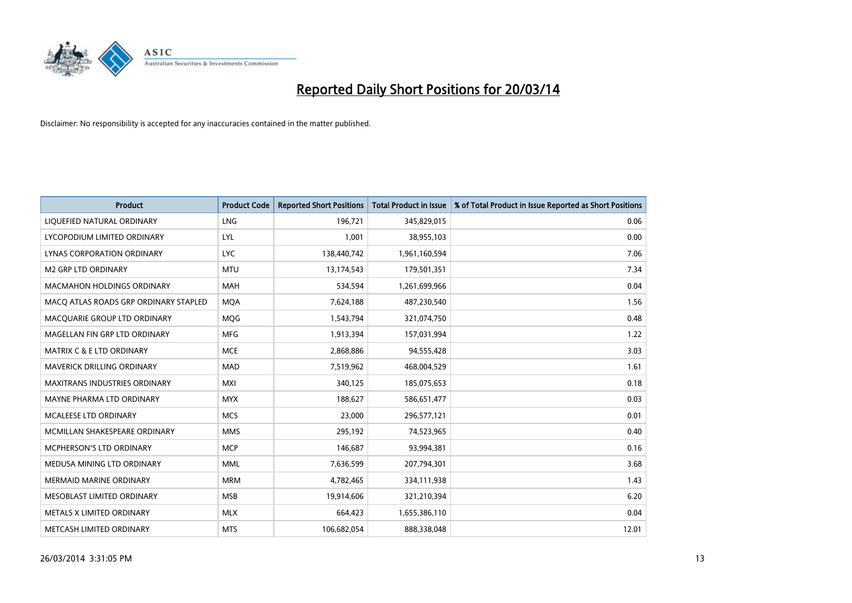

| <b>Product</b>                        | <b>Product Code</b> | <b>Reported Short Positions</b> | <b>Total Product in Issue</b> | % of Total Product in Issue Reported as Short Positions |
|---------------------------------------|---------------------|---------------------------------|-------------------------------|---------------------------------------------------------|
| LIQUEFIED NATURAL ORDINARY            | <b>LNG</b>          | 196,721                         | 345,829,015                   | 0.06                                                    |
| LYCOPODIUM LIMITED ORDINARY           | <b>LYL</b>          | 1,001                           | 38,955,103                    | 0.00                                                    |
| <b>LYNAS CORPORATION ORDINARY</b>     | <b>LYC</b>          | 138,440,742                     | 1,961,160,594                 | 7.06                                                    |
| M2 GRP LTD ORDINARY                   | <b>MTU</b>          | 13,174,543                      | 179,501,351                   | 7.34                                                    |
| <b>MACMAHON HOLDINGS ORDINARY</b>     | <b>MAH</b>          | 534,594                         | 1,261,699,966                 | 0.04                                                    |
| MACQ ATLAS ROADS GRP ORDINARY STAPLED | <b>MQA</b>          | 7,624,188                       | 487,230,540                   | 1.56                                                    |
| MACQUARIE GROUP LTD ORDINARY          | <b>MOG</b>          | 1,543,794                       | 321,074,750                   | 0.48                                                    |
| MAGELLAN FIN GRP LTD ORDINARY         | <b>MFG</b>          | 1,913,394                       | 157,031,994                   | 1.22                                                    |
| <b>MATRIX C &amp; E LTD ORDINARY</b>  | <b>MCE</b>          | 2,868,886                       | 94,555,428                    | 3.03                                                    |
| MAVERICK DRILLING ORDINARY            | <b>MAD</b>          | 7,519,962                       | 468,004,529                   | 1.61                                                    |
| <b>MAXITRANS INDUSTRIES ORDINARY</b>  | <b>MXI</b>          | 340,125                         | 185,075,653                   | 0.18                                                    |
| MAYNE PHARMA LTD ORDINARY             | <b>MYX</b>          | 188,627                         | 586,651,477                   | 0.03                                                    |
| MCALEESE LTD ORDINARY                 | <b>MCS</b>          | 23,000                          | 296,577,121                   | 0.01                                                    |
| MCMILLAN SHAKESPEARE ORDINARY         | <b>MMS</b>          | 295,192                         | 74,523,965                    | 0.40                                                    |
| MCPHERSON'S LTD ORDINARY              | <b>MCP</b>          | 146,687                         | 93,994,381                    | 0.16                                                    |
| MEDUSA MINING LTD ORDINARY            | <b>MML</b>          | 7,636,599                       | 207,794,301                   | 3.68                                                    |
| MERMAID MARINE ORDINARY               | <b>MRM</b>          | 4,782,465                       | 334,111,938                   | 1.43                                                    |
| MESOBLAST LIMITED ORDINARY            | <b>MSB</b>          | 19,914,606                      | 321,210,394                   | 6.20                                                    |
| METALS X LIMITED ORDINARY             | <b>MLX</b>          | 664,423                         | 1,655,386,110                 | 0.04                                                    |
| METCASH LIMITED ORDINARY              | <b>MTS</b>          | 106,682,054                     | 888,338,048                   | 12.01                                                   |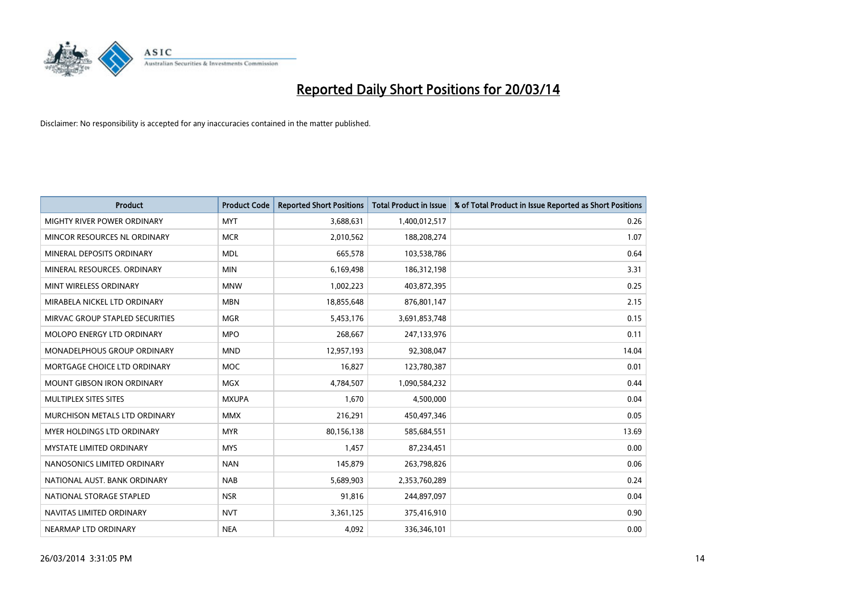

| <b>Product</b>                     | <b>Product Code</b> | <b>Reported Short Positions</b> | <b>Total Product in Issue</b> | % of Total Product in Issue Reported as Short Positions |
|------------------------------------|---------------------|---------------------------------|-------------------------------|---------------------------------------------------------|
| <b>MIGHTY RIVER POWER ORDINARY</b> | <b>MYT</b>          | 3,688,631                       | 1,400,012,517                 | 0.26                                                    |
| MINCOR RESOURCES NL ORDINARY       | <b>MCR</b>          | 2,010,562                       | 188,208,274                   | 1.07                                                    |
| MINERAL DEPOSITS ORDINARY          | <b>MDL</b>          | 665,578                         | 103,538,786                   | 0.64                                                    |
| MINERAL RESOURCES. ORDINARY        | <b>MIN</b>          | 6,169,498                       | 186,312,198                   | 3.31                                                    |
| MINT WIRELESS ORDINARY             | <b>MNW</b>          | 1,002,223                       | 403,872,395                   | 0.25                                                    |
| MIRABELA NICKEL LTD ORDINARY       | <b>MBN</b>          | 18,855,648                      | 876,801,147                   | 2.15                                                    |
| MIRVAC GROUP STAPLED SECURITIES    | <b>MGR</b>          | 5,453,176                       | 3,691,853,748                 | 0.15                                                    |
| MOLOPO ENERGY LTD ORDINARY         | <b>MPO</b>          | 268,667                         | 247,133,976                   | 0.11                                                    |
| MONADELPHOUS GROUP ORDINARY        | <b>MND</b>          | 12,957,193                      | 92,308,047                    | 14.04                                                   |
| MORTGAGE CHOICE LTD ORDINARY       | <b>MOC</b>          | 16,827                          | 123,780,387                   | 0.01                                                    |
| <b>MOUNT GIBSON IRON ORDINARY</b>  | <b>MGX</b>          | 4,784,507                       | 1,090,584,232                 | 0.44                                                    |
| MULTIPLEX SITES SITES              | <b>MXUPA</b>        | 1,670                           | 4,500,000                     | 0.04                                                    |
| MURCHISON METALS LTD ORDINARY      | <b>MMX</b>          | 216,291                         | 450,497,346                   | 0.05                                                    |
| <b>MYER HOLDINGS LTD ORDINARY</b>  | <b>MYR</b>          | 80,156,138                      | 585,684,551                   | 13.69                                                   |
| <b>MYSTATE LIMITED ORDINARY</b>    | <b>MYS</b>          | 1,457                           | 87,234,451                    | 0.00                                                    |
| NANOSONICS LIMITED ORDINARY        | <b>NAN</b>          | 145,879                         | 263,798,826                   | 0.06                                                    |
| NATIONAL AUST. BANK ORDINARY       | <b>NAB</b>          | 5,689,903                       | 2,353,760,289                 | 0.24                                                    |
| NATIONAL STORAGE STAPLED           | <b>NSR</b>          | 91,816                          | 244,897,097                   | 0.04                                                    |
| NAVITAS LIMITED ORDINARY           | <b>NVT</b>          | 3,361,125                       | 375,416,910                   | 0.90                                                    |
| NEARMAP LTD ORDINARY               | <b>NEA</b>          | 4,092                           | 336,346,101                   | 0.00                                                    |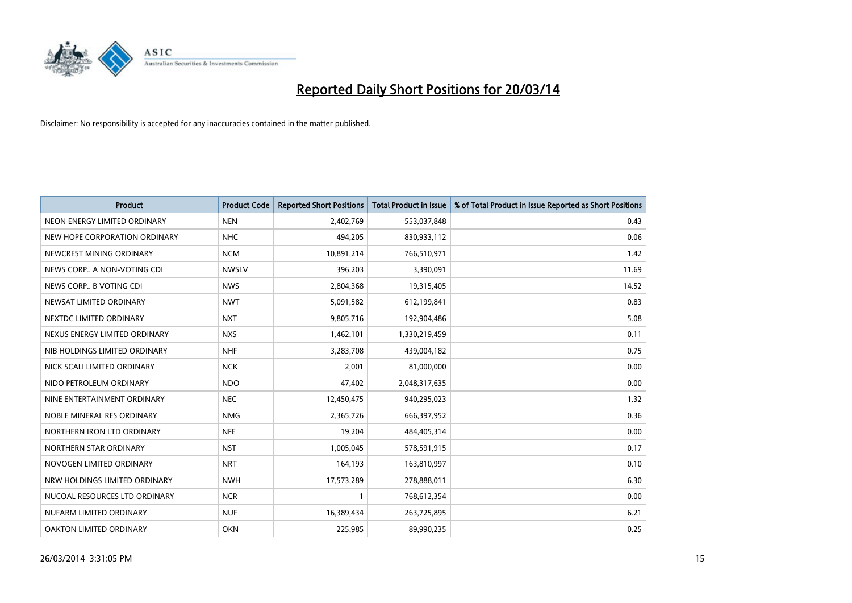

| <b>Product</b>                | <b>Product Code</b> | <b>Reported Short Positions</b> | <b>Total Product in Issue</b> | % of Total Product in Issue Reported as Short Positions |
|-------------------------------|---------------------|---------------------------------|-------------------------------|---------------------------------------------------------|
| NEON ENERGY LIMITED ORDINARY  | <b>NEN</b>          | 2,402,769                       | 553,037,848                   | 0.43                                                    |
| NEW HOPE CORPORATION ORDINARY | <b>NHC</b>          | 494,205                         | 830,933,112                   | 0.06                                                    |
| NEWCREST MINING ORDINARY      | <b>NCM</b>          | 10,891,214                      | 766,510,971                   | 1.42                                                    |
| NEWS CORP A NON-VOTING CDI    | <b>NWSLV</b>        | 396,203                         | 3,390,091                     | 11.69                                                   |
| NEWS CORP B VOTING CDI        | <b>NWS</b>          | 2,804,368                       | 19,315,405                    | 14.52                                                   |
| NEWSAT LIMITED ORDINARY       | <b>NWT</b>          | 5,091,582                       | 612,199,841                   | 0.83                                                    |
| NEXTDC LIMITED ORDINARY       | <b>NXT</b>          | 9,805,716                       | 192,904,486                   | 5.08                                                    |
| NEXUS ENERGY LIMITED ORDINARY | <b>NXS</b>          | 1,462,101                       | 1,330,219,459                 | 0.11                                                    |
| NIB HOLDINGS LIMITED ORDINARY | <b>NHF</b>          | 3,283,708                       | 439,004,182                   | 0.75                                                    |
| NICK SCALI LIMITED ORDINARY   | <b>NCK</b>          | 2,001                           | 81,000,000                    | 0.00                                                    |
| NIDO PETROLEUM ORDINARY       | <b>NDO</b>          | 47,402                          | 2,048,317,635                 | 0.00                                                    |
| NINE ENTERTAINMENT ORDINARY   | <b>NEC</b>          | 12,450,475                      | 940,295,023                   | 1.32                                                    |
| NOBLE MINERAL RES ORDINARY    | <b>NMG</b>          | 2,365,726                       | 666,397,952                   | 0.36                                                    |
| NORTHERN IRON LTD ORDINARY    | <b>NFE</b>          | 19,204                          | 484,405,314                   | 0.00                                                    |
| NORTHERN STAR ORDINARY        | <b>NST</b>          | 1,005,045                       | 578,591,915                   | 0.17                                                    |
| NOVOGEN LIMITED ORDINARY      | <b>NRT</b>          | 164,193                         | 163,810,997                   | 0.10                                                    |
| NRW HOLDINGS LIMITED ORDINARY | <b>NWH</b>          | 17,573,289                      | 278,888,011                   | 6.30                                                    |
| NUCOAL RESOURCES LTD ORDINARY | <b>NCR</b>          |                                 | 768,612,354                   | 0.00                                                    |
| NUFARM LIMITED ORDINARY       | <b>NUF</b>          | 16,389,434                      | 263,725,895                   | 6.21                                                    |
| OAKTON LIMITED ORDINARY       | <b>OKN</b>          | 225,985                         | 89,990,235                    | 0.25                                                    |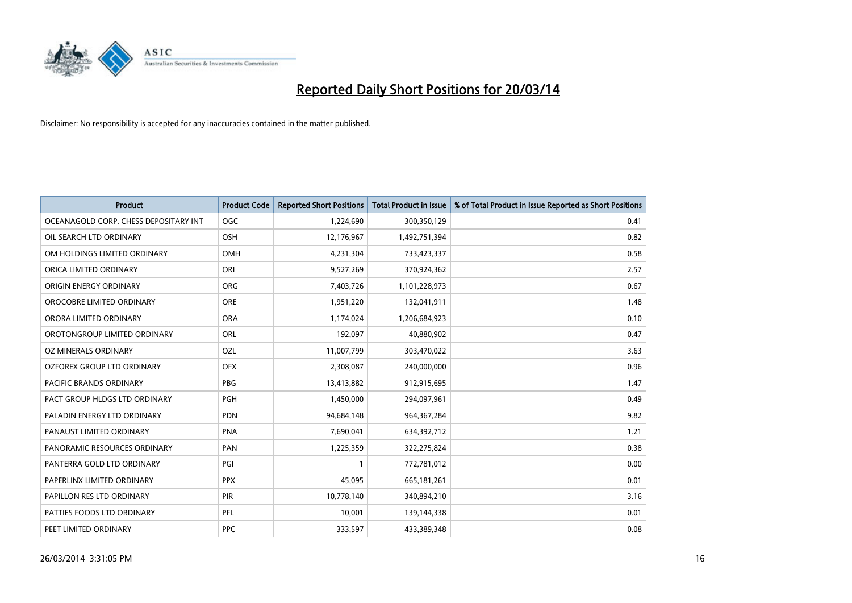

| <b>Product</b>                        | <b>Product Code</b> | <b>Reported Short Positions</b> | <b>Total Product in Issue</b> | % of Total Product in Issue Reported as Short Positions |
|---------------------------------------|---------------------|---------------------------------|-------------------------------|---------------------------------------------------------|
| OCEANAGOLD CORP. CHESS DEPOSITARY INT | <b>OGC</b>          | 1,224,690                       | 300,350,129                   | 0.41                                                    |
| OIL SEARCH LTD ORDINARY               | OSH                 | 12,176,967                      | 1,492,751,394                 | 0.82                                                    |
| OM HOLDINGS LIMITED ORDINARY          | OMH                 | 4,231,304                       | 733,423,337                   | 0.58                                                    |
| ORICA LIMITED ORDINARY                | ORI                 | 9,527,269                       | 370,924,362                   | 2.57                                                    |
| ORIGIN ENERGY ORDINARY                | <b>ORG</b>          | 7,403,726                       | 1,101,228,973                 | 0.67                                                    |
| OROCOBRE LIMITED ORDINARY             | <b>ORE</b>          | 1,951,220                       | 132,041,911                   | 1.48                                                    |
| ORORA LIMITED ORDINARY                | <b>ORA</b>          | 1,174,024                       | 1,206,684,923                 | 0.10                                                    |
| OROTONGROUP LIMITED ORDINARY          | ORL                 | 192,097                         | 40,880,902                    | 0.47                                                    |
| OZ MINERALS ORDINARY                  | OZL                 | 11,007,799                      | 303,470,022                   | 3.63                                                    |
| OZFOREX GROUP LTD ORDINARY            | <b>OFX</b>          | 2,308,087                       | 240,000,000                   | 0.96                                                    |
| PACIFIC BRANDS ORDINARY               | <b>PBG</b>          | 13,413,882                      | 912,915,695                   | 1.47                                                    |
| PACT GROUP HLDGS LTD ORDINARY         | <b>PGH</b>          | 1,450,000                       | 294,097,961                   | 0.49                                                    |
| PALADIN ENERGY LTD ORDINARY           | <b>PDN</b>          | 94,684,148                      | 964, 367, 284                 | 9.82                                                    |
| PANAUST LIMITED ORDINARY              | <b>PNA</b>          | 7,690,041                       | 634,392,712                   | 1.21                                                    |
| PANORAMIC RESOURCES ORDINARY          | PAN                 | 1,225,359                       | 322,275,824                   | 0.38                                                    |
| PANTERRA GOLD LTD ORDINARY            | PGI                 |                                 | 772,781,012                   | 0.00                                                    |
| PAPERLINX LIMITED ORDINARY            | <b>PPX</b>          | 45,095                          | 665,181,261                   | 0.01                                                    |
| PAPILLON RES LTD ORDINARY             | PIR                 | 10,778,140                      | 340,894,210                   | 3.16                                                    |
| PATTIES FOODS LTD ORDINARY            | PFL                 | 10,001                          | 139,144,338                   | 0.01                                                    |
| PEET LIMITED ORDINARY                 | <b>PPC</b>          | 333,597                         | 433,389,348                   | 0.08                                                    |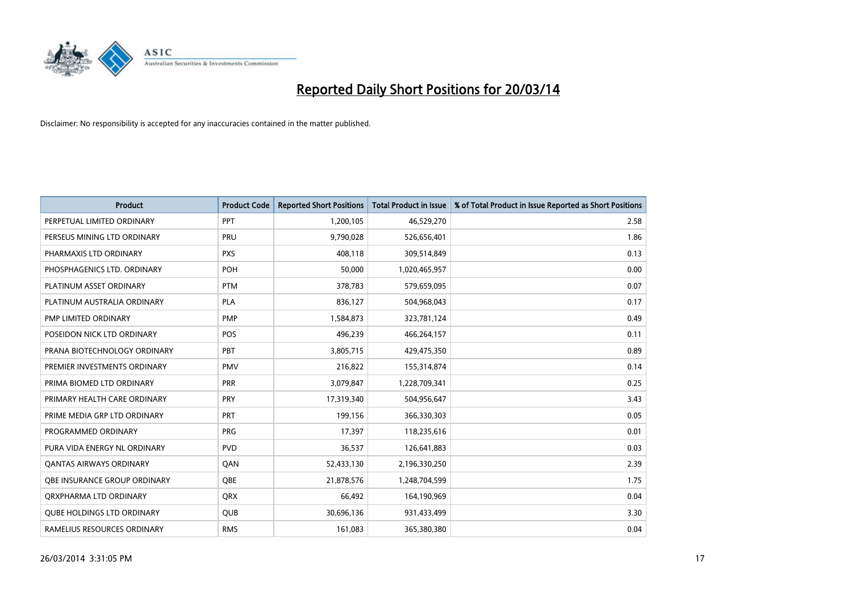

| <b>Product</b>                      | <b>Product Code</b> | <b>Reported Short Positions</b> | <b>Total Product in Issue</b> | % of Total Product in Issue Reported as Short Positions |
|-------------------------------------|---------------------|---------------------------------|-------------------------------|---------------------------------------------------------|
| PERPETUAL LIMITED ORDINARY          | PPT                 | 1,200,105                       | 46,529,270                    | 2.58                                                    |
| PERSEUS MINING LTD ORDINARY         | PRU                 | 9,790,028                       | 526,656,401                   | 1.86                                                    |
| PHARMAXIS LTD ORDINARY              | <b>PXS</b>          | 408.118                         | 309,514,849                   | 0.13                                                    |
| PHOSPHAGENICS LTD. ORDINARY         | POH                 | 50,000                          | 1,020,465,957                 | 0.00                                                    |
| PLATINUM ASSET ORDINARY             | <b>PTM</b>          | 378,783                         | 579,659,095                   | 0.07                                                    |
| PLATINUM AUSTRALIA ORDINARY         | <b>PLA</b>          | 836,127                         | 504,968,043                   | 0.17                                                    |
| PMP LIMITED ORDINARY                | <b>PMP</b>          | 1,584,873                       | 323,781,124                   | 0.49                                                    |
| POSEIDON NICK LTD ORDINARY          | POS                 | 496,239                         | 466,264,157                   | 0.11                                                    |
| PRANA BIOTECHNOLOGY ORDINARY        | PBT                 | 3,805,715                       | 429,475,350                   | 0.89                                                    |
| PREMIER INVESTMENTS ORDINARY        | <b>PMV</b>          | 216,822                         | 155,314,874                   | 0.14                                                    |
| PRIMA BIOMED LTD ORDINARY           | <b>PRR</b>          | 3,079,847                       | 1,228,709,341                 | 0.25                                                    |
| PRIMARY HEALTH CARE ORDINARY        | <b>PRY</b>          | 17,319,340                      | 504,956,647                   | 3.43                                                    |
| PRIME MEDIA GRP LTD ORDINARY        | PRT                 | 199,156                         | 366,330,303                   | 0.05                                                    |
| PROGRAMMED ORDINARY                 | PRG                 | 17,397                          | 118,235,616                   | 0.01                                                    |
| PURA VIDA ENERGY NL ORDINARY        | <b>PVD</b>          | 36,537                          | 126,641,883                   | 0.03                                                    |
| <b>QANTAS AIRWAYS ORDINARY</b>      | QAN                 | 52,433,130                      | 2,196,330,250                 | 2.39                                                    |
| <b>OBE INSURANCE GROUP ORDINARY</b> | <b>OBE</b>          | 21,878,576                      | 1,248,704,599                 | 1.75                                                    |
| ORXPHARMA LTD ORDINARY              | <b>QRX</b>          | 66,492                          | 164,190,969                   | 0.04                                                    |
| <b>QUBE HOLDINGS LTD ORDINARY</b>   | <b>QUB</b>          | 30,696,136                      | 931,433,499                   | 3.30                                                    |
| RAMELIUS RESOURCES ORDINARY         | <b>RMS</b>          | 161,083                         | 365,380,380                   | 0.04                                                    |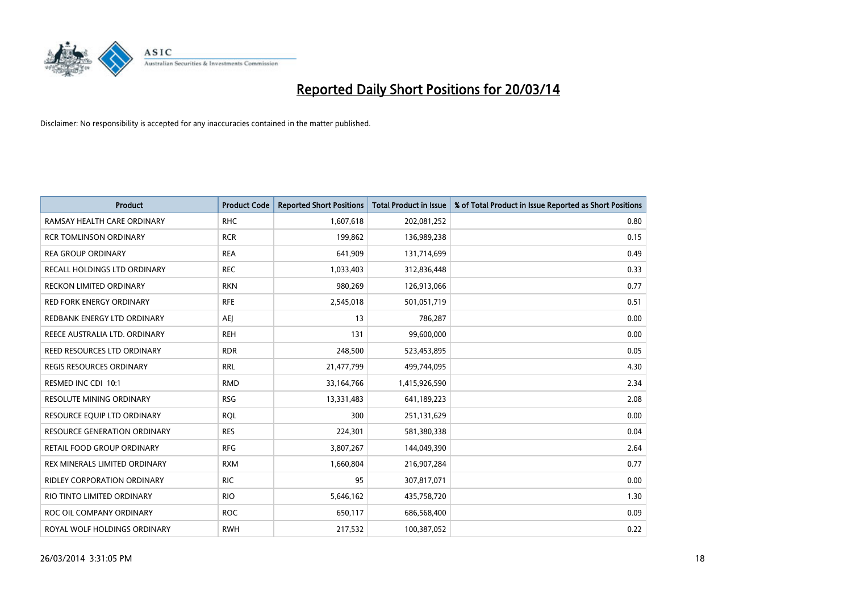

| <b>Product</b>                      | <b>Product Code</b> | <b>Reported Short Positions</b> | <b>Total Product in Issue</b> | % of Total Product in Issue Reported as Short Positions |
|-------------------------------------|---------------------|---------------------------------|-------------------------------|---------------------------------------------------------|
| RAMSAY HEALTH CARE ORDINARY         | <b>RHC</b>          | 1,607,618                       | 202,081,252                   | 0.80                                                    |
| <b>RCR TOMLINSON ORDINARY</b>       | <b>RCR</b>          | 199,862                         | 136,989,238                   | 0.15                                                    |
| <b>REA GROUP ORDINARY</b>           | <b>REA</b>          | 641,909                         | 131,714,699                   | 0.49                                                    |
| RECALL HOLDINGS LTD ORDINARY        | <b>REC</b>          | 1,033,403                       | 312,836,448                   | 0.33                                                    |
| <b>RECKON LIMITED ORDINARY</b>      | <b>RKN</b>          | 980,269                         | 126,913,066                   | 0.77                                                    |
| <b>RED FORK ENERGY ORDINARY</b>     | <b>RFE</b>          | 2,545,018                       | 501,051,719                   | 0.51                                                    |
| REDBANK ENERGY LTD ORDINARY         | AEJ                 | 13                              | 786,287                       | 0.00                                                    |
| REECE AUSTRALIA LTD. ORDINARY       | <b>REH</b>          | 131                             | 99,600,000                    | 0.00                                                    |
| REED RESOURCES LTD ORDINARY         | <b>RDR</b>          | 248,500                         | 523,453,895                   | 0.05                                                    |
| <b>REGIS RESOURCES ORDINARY</b>     | <b>RRL</b>          | 21,477,799                      | 499,744,095                   | 4.30                                                    |
| RESMED INC CDI 10:1                 | <b>RMD</b>          | 33,164,766                      | 1,415,926,590                 | 2.34                                                    |
| <b>RESOLUTE MINING ORDINARY</b>     | <b>RSG</b>          | 13,331,483                      | 641,189,223                   | 2.08                                                    |
| RESOURCE EQUIP LTD ORDINARY         | <b>ROL</b>          | 300                             | 251,131,629                   | 0.00                                                    |
| <b>RESOURCE GENERATION ORDINARY</b> | <b>RES</b>          | 224,301                         | 581,380,338                   | 0.04                                                    |
| RETAIL FOOD GROUP ORDINARY          | <b>RFG</b>          | 3,807,267                       | 144,049,390                   | 2.64                                                    |
| REX MINERALS LIMITED ORDINARY       | <b>RXM</b>          | 1,660,804                       | 216,907,284                   | 0.77                                                    |
| RIDLEY CORPORATION ORDINARY         | <b>RIC</b>          | 95                              | 307,817,071                   | 0.00                                                    |
| RIO TINTO LIMITED ORDINARY          | <b>RIO</b>          | 5,646,162                       | 435,758,720                   | 1.30                                                    |
| ROC OIL COMPANY ORDINARY            | <b>ROC</b>          | 650,117                         | 686,568,400                   | 0.09                                                    |
| ROYAL WOLF HOLDINGS ORDINARY        | <b>RWH</b>          | 217,532                         | 100,387,052                   | 0.22                                                    |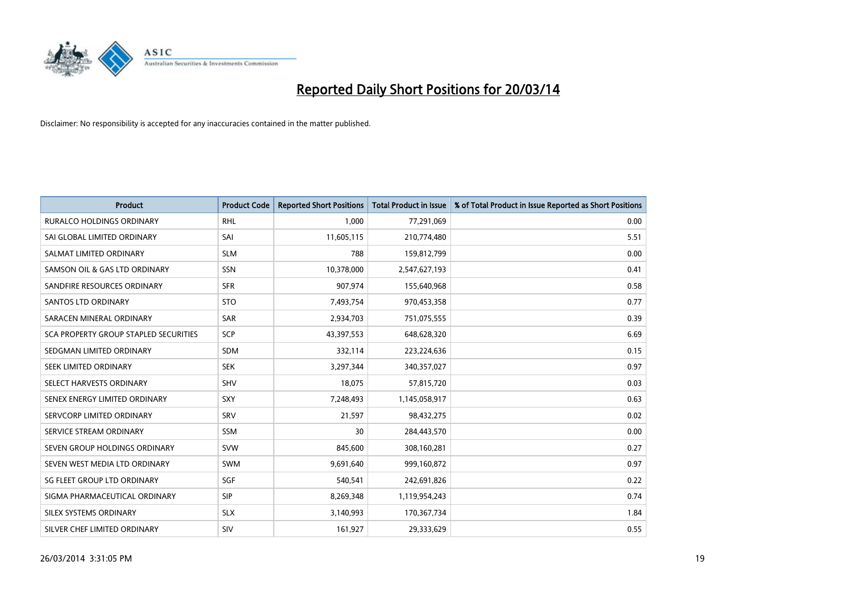

| <b>Product</b>                               | <b>Product Code</b> | <b>Reported Short Positions</b> | <b>Total Product in Issue</b> | % of Total Product in Issue Reported as Short Positions |
|----------------------------------------------|---------------------|---------------------------------|-------------------------------|---------------------------------------------------------|
| <b>RURALCO HOLDINGS ORDINARY</b>             | <b>RHL</b>          | 1,000                           | 77,291,069                    | 0.00                                                    |
| SAI GLOBAL LIMITED ORDINARY                  | SAI                 | 11,605,115                      | 210,774,480                   | 5.51                                                    |
| SALMAT LIMITED ORDINARY                      | <b>SLM</b>          | 788                             | 159,812,799                   | 0.00                                                    |
| SAMSON OIL & GAS LTD ORDINARY                | <b>SSN</b>          | 10,378,000                      | 2,547,627,193                 | 0.41                                                    |
| SANDFIRE RESOURCES ORDINARY                  | <b>SFR</b>          | 907,974                         | 155,640,968                   | 0.58                                                    |
| <b>SANTOS LTD ORDINARY</b>                   | <b>STO</b>          | 7,493,754                       | 970,453,358                   | 0.77                                                    |
| SARACEN MINERAL ORDINARY                     | SAR                 | 2,934,703                       | 751,075,555                   | 0.39                                                    |
| <b>SCA PROPERTY GROUP STAPLED SECURITIES</b> | <b>SCP</b>          | 43,397,553                      | 648,628,320                   | 6.69                                                    |
| SEDGMAN LIMITED ORDINARY                     | <b>SDM</b>          | 332,114                         | 223,224,636                   | 0.15                                                    |
| SEEK LIMITED ORDINARY                        | <b>SEK</b>          | 3,297,344                       | 340,357,027                   | 0.97                                                    |
| SELECT HARVESTS ORDINARY                     | SHV                 | 18,075                          | 57,815,720                    | 0.03                                                    |
| SENEX ENERGY LIMITED ORDINARY                | <b>SXY</b>          | 7,248,493                       | 1,145,058,917                 | 0.63                                                    |
| SERVCORP LIMITED ORDINARY                    | SRV                 | 21,597                          | 98,432,275                    | 0.02                                                    |
| SERVICE STREAM ORDINARY                      | <b>SSM</b>          | 30                              | 284,443,570                   | 0.00                                                    |
| SEVEN GROUP HOLDINGS ORDINARY                | <b>SVW</b>          | 845,600                         | 308,160,281                   | 0.27                                                    |
| SEVEN WEST MEDIA LTD ORDINARY                | <b>SWM</b>          | 9,691,640                       | 999,160,872                   | 0.97                                                    |
| SG FLEET GROUP LTD ORDINARY                  | SGF                 | 540,541                         | 242,691,826                   | 0.22                                                    |
| SIGMA PHARMACEUTICAL ORDINARY                | <b>SIP</b>          | 8,269,348                       | 1,119,954,243                 | 0.74                                                    |
| SILEX SYSTEMS ORDINARY                       | <b>SLX</b>          | 3,140,993                       | 170,367,734                   | 1.84                                                    |
| SILVER CHEF LIMITED ORDINARY                 | <b>SIV</b>          | 161,927                         | 29,333,629                    | 0.55                                                    |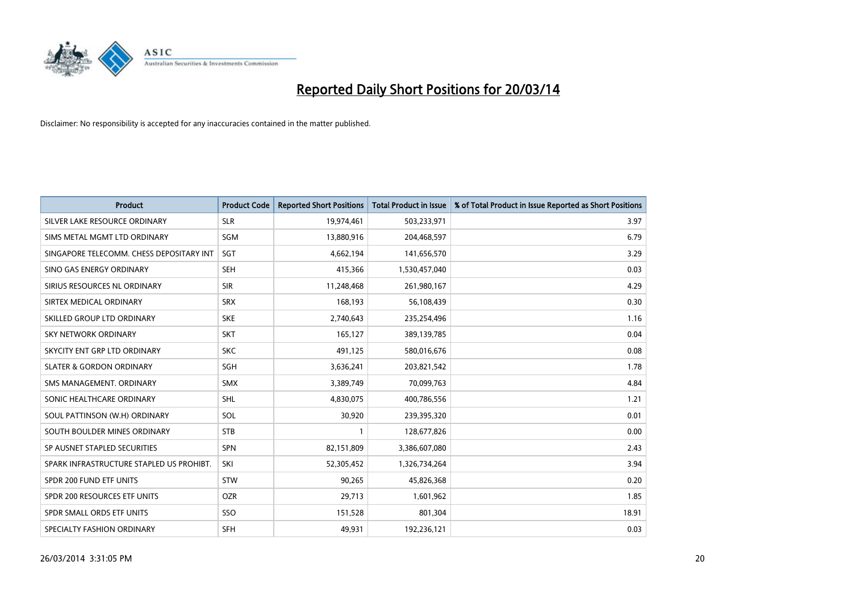

| <b>Product</b>                           | <b>Product Code</b> | <b>Reported Short Positions</b> | <b>Total Product in Issue</b> | % of Total Product in Issue Reported as Short Positions |
|------------------------------------------|---------------------|---------------------------------|-------------------------------|---------------------------------------------------------|
| SILVER LAKE RESOURCE ORDINARY            | <b>SLR</b>          | 19,974,461                      | 503,233,971                   | 3.97                                                    |
| SIMS METAL MGMT LTD ORDINARY             | SGM                 | 13,880,916                      | 204,468,597                   | 6.79                                                    |
| SINGAPORE TELECOMM. CHESS DEPOSITARY INT | <b>SGT</b>          | 4,662,194                       | 141,656,570                   | 3.29                                                    |
| SINO GAS ENERGY ORDINARY                 | <b>SEH</b>          | 415,366                         | 1,530,457,040                 | 0.03                                                    |
| SIRIUS RESOURCES NL ORDINARY             | <b>SIR</b>          | 11,248,468                      | 261,980,167                   | 4.29                                                    |
| SIRTEX MEDICAL ORDINARY                  | <b>SRX</b>          | 168,193                         | 56,108,439                    | 0.30                                                    |
| SKILLED GROUP LTD ORDINARY               | <b>SKE</b>          | 2,740,643                       | 235,254,496                   | 1.16                                                    |
| SKY NETWORK ORDINARY                     | <b>SKT</b>          | 165,127                         | 389,139,785                   | 0.04                                                    |
| SKYCITY ENT GRP LTD ORDINARY             | <b>SKC</b>          | 491,125                         | 580,016,676                   | 0.08                                                    |
| <b>SLATER &amp; GORDON ORDINARY</b>      | <b>SGH</b>          | 3,636,241                       | 203,821,542                   | 1.78                                                    |
| SMS MANAGEMENT. ORDINARY                 | <b>SMX</b>          | 3,389,749                       | 70,099,763                    | 4.84                                                    |
| SONIC HEALTHCARE ORDINARY                | <b>SHL</b>          | 4,830,075                       | 400,786,556                   | 1.21                                                    |
| SOUL PATTINSON (W.H) ORDINARY            | SOL                 | 30,920                          | 239,395,320                   | 0.01                                                    |
| SOUTH BOULDER MINES ORDINARY             | <b>STB</b>          |                                 | 128,677,826                   | 0.00                                                    |
| SP AUSNET STAPLED SECURITIES             | <b>SPN</b>          | 82,151,809                      | 3,386,607,080                 | 2.43                                                    |
| SPARK INFRASTRUCTURE STAPLED US PROHIBT. | SKI                 | 52,305,452                      | 1,326,734,264                 | 3.94                                                    |
| SPDR 200 FUND ETF UNITS                  | <b>STW</b>          | 90,265                          | 45,826,368                    | 0.20                                                    |
| SPDR 200 RESOURCES ETF UNITS             | <b>OZR</b>          | 29,713                          | 1,601,962                     | 1.85                                                    |
| SPDR SMALL ORDS ETF UNITS                | SSO                 | 151,528                         | 801,304                       | 18.91                                                   |
| SPECIALTY FASHION ORDINARY               | <b>SFH</b>          | 49,931                          | 192,236,121                   | 0.03                                                    |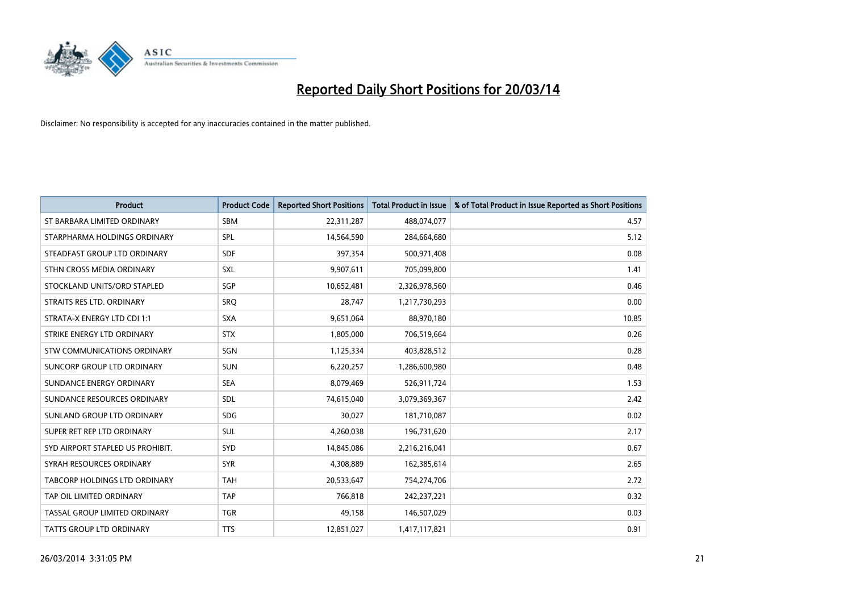

| <b>Product</b>                       | <b>Product Code</b> | <b>Reported Short Positions</b> | <b>Total Product in Issue</b> | % of Total Product in Issue Reported as Short Positions |
|--------------------------------------|---------------------|---------------------------------|-------------------------------|---------------------------------------------------------|
| ST BARBARA LIMITED ORDINARY          | <b>SBM</b>          | 22,311,287                      | 488,074,077                   | 4.57                                                    |
| STARPHARMA HOLDINGS ORDINARY         | SPL                 | 14,564,590                      | 284,664,680                   | 5.12                                                    |
| STEADFAST GROUP LTD ORDINARY         | <b>SDF</b>          | 397,354                         | 500,971,408                   | 0.08                                                    |
| STHN CROSS MEDIA ORDINARY            | SXL                 | 9,907,611                       | 705,099,800                   | 1.41                                                    |
| STOCKLAND UNITS/ORD STAPLED          | <b>SGP</b>          | 10,652,481                      | 2,326,978,560                 | 0.46                                                    |
| STRAITS RES LTD. ORDINARY            | SRQ                 | 28,747                          | 1,217,730,293                 | 0.00                                                    |
| STRATA-X ENERGY LTD CDI 1:1          | <b>SXA</b>          | 9,651,064                       | 88,970,180                    | 10.85                                                   |
| STRIKE ENERGY LTD ORDINARY           | <b>STX</b>          | 1,805,000                       | 706,519,664                   | 0.26                                                    |
| STW COMMUNICATIONS ORDINARY          | SGN                 | 1,125,334                       | 403,828,512                   | 0.28                                                    |
| SUNCORP GROUP LTD ORDINARY           | <b>SUN</b>          | 6,220,257                       | 1,286,600,980                 | 0.48                                                    |
| SUNDANCE ENERGY ORDINARY             | <b>SEA</b>          | 8,079,469                       | 526,911,724                   | 1.53                                                    |
| SUNDANCE RESOURCES ORDINARY          | <b>SDL</b>          | 74,615,040                      | 3,079,369,367                 | 2.42                                                    |
| SUNLAND GROUP LTD ORDINARY           | <b>SDG</b>          | 30,027                          | 181,710,087                   | 0.02                                                    |
| SUPER RET REP LTD ORDINARY           | <b>SUL</b>          | 4,260,038                       | 196,731,620                   | 2.17                                                    |
| SYD AIRPORT STAPLED US PROHIBIT.     | SYD                 | 14,845,086                      | 2,216,216,041                 | 0.67                                                    |
| SYRAH RESOURCES ORDINARY             | <b>SYR</b>          | 4,308,889                       | 162,385,614                   | 2.65                                                    |
| <b>TABCORP HOLDINGS LTD ORDINARY</b> | <b>TAH</b>          | 20,533,647                      | 754,274,706                   | 2.72                                                    |
| TAP OIL LIMITED ORDINARY             | <b>TAP</b>          | 766,818                         | 242,237,221                   | 0.32                                                    |
| TASSAL GROUP LIMITED ORDINARY        | <b>TGR</b>          | 49,158                          | 146,507,029                   | 0.03                                                    |
| <b>TATTS GROUP LTD ORDINARY</b>      | <b>TTS</b>          | 12,851,027                      | 1,417,117,821                 | 0.91                                                    |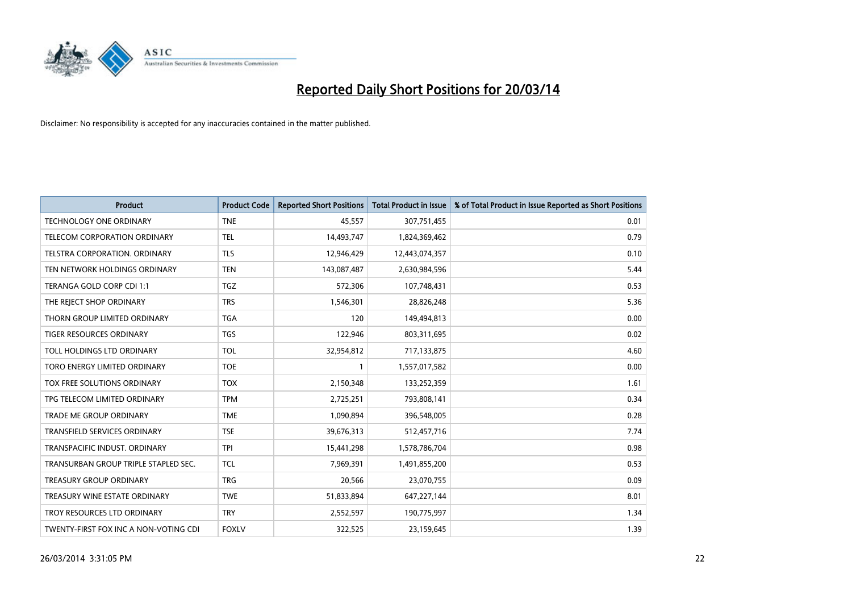

| <b>Product</b>                        | <b>Product Code</b> | <b>Reported Short Positions</b> | <b>Total Product in Issue</b> | % of Total Product in Issue Reported as Short Positions |
|---------------------------------------|---------------------|---------------------------------|-------------------------------|---------------------------------------------------------|
| <b>TECHNOLOGY ONE ORDINARY</b>        | <b>TNE</b>          | 45,557                          | 307,751,455                   | 0.01                                                    |
| <b>TELECOM CORPORATION ORDINARY</b>   | <b>TEL</b>          | 14,493,747                      | 1,824,369,462                 | 0.79                                                    |
| <b>TELSTRA CORPORATION, ORDINARY</b>  | <b>TLS</b>          | 12,946,429                      | 12,443,074,357                | 0.10                                                    |
| TEN NETWORK HOLDINGS ORDINARY         | <b>TEN</b>          | 143,087,487                     | 2,630,984,596                 | 5.44                                                    |
| TERANGA GOLD CORP CDI 1:1             | <b>TGZ</b>          | 572,306                         | 107,748,431                   | 0.53                                                    |
| THE REJECT SHOP ORDINARY              | <b>TRS</b>          | 1,546,301                       | 28,826,248                    | 5.36                                                    |
| THORN GROUP LIMITED ORDINARY          | <b>TGA</b>          | 120                             | 149,494,813                   | 0.00                                                    |
| <b>TIGER RESOURCES ORDINARY</b>       | <b>TGS</b>          | 122,946                         | 803,311,695                   | 0.02                                                    |
| TOLL HOLDINGS LTD ORDINARY            | <b>TOL</b>          | 32,954,812                      | 717,133,875                   | 4.60                                                    |
| TORO ENERGY LIMITED ORDINARY          | <b>TOE</b>          |                                 | 1,557,017,582                 | 0.00                                                    |
| <b>TOX FREE SOLUTIONS ORDINARY</b>    | <b>TOX</b>          | 2,150,348                       | 133,252,359                   | 1.61                                                    |
| TPG TELECOM LIMITED ORDINARY          | <b>TPM</b>          | 2,725,251                       | 793,808,141                   | 0.34                                                    |
| <b>TRADE ME GROUP ORDINARY</b>        | <b>TME</b>          | 1,090,894                       | 396,548,005                   | 0.28                                                    |
| <b>TRANSFIELD SERVICES ORDINARY</b>   | <b>TSE</b>          | 39,676,313                      | 512,457,716                   | 7.74                                                    |
| TRANSPACIFIC INDUST, ORDINARY         | <b>TPI</b>          | 15,441,298                      | 1,578,786,704                 | 0.98                                                    |
| TRANSURBAN GROUP TRIPLE STAPLED SEC.  | <b>TCL</b>          | 7,969,391                       | 1,491,855,200                 | 0.53                                                    |
| <b>TREASURY GROUP ORDINARY</b>        | <b>TRG</b>          | 20,566                          | 23,070,755                    | 0.09                                                    |
| TREASURY WINE ESTATE ORDINARY         | <b>TWE</b>          | 51,833,894                      | 647,227,144                   | 8.01                                                    |
| TROY RESOURCES LTD ORDINARY           | <b>TRY</b>          | 2,552,597                       | 190,775,997                   | 1.34                                                    |
| TWENTY-FIRST FOX INC A NON-VOTING CDI | <b>FOXLV</b>        | 322.525                         | 23,159,645                    | 1.39                                                    |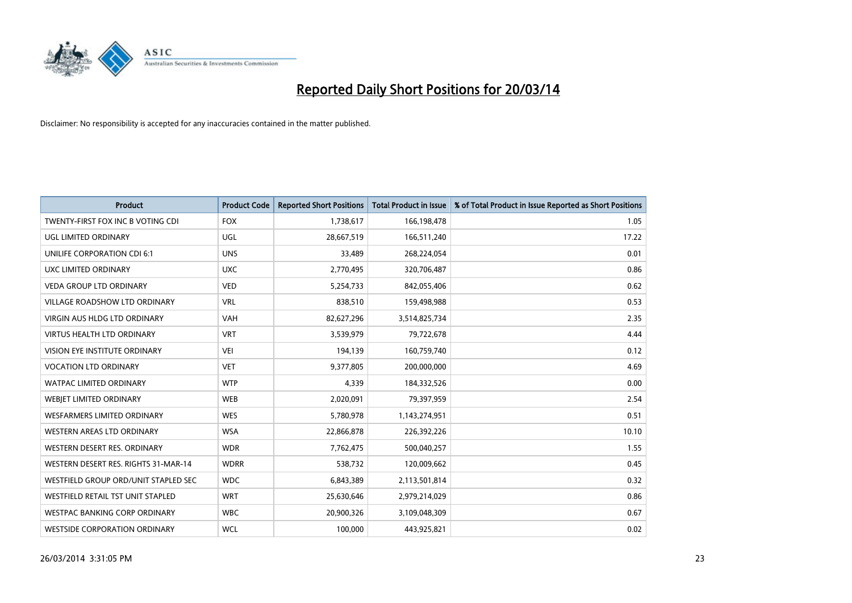

| <b>Product</b>                       | <b>Product Code</b> | <b>Reported Short Positions</b> | <b>Total Product in Issue</b> | % of Total Product in Issue Reported as Short Positions |
|--------------------------------------|---------------------|---------------------------------|-------------------------------|---------------------------------------------------------|
| TWENTY-FIRST FOX INC B VOTING CDI    | <b>FOX</b>          | 1,738,617                       | 166,198,478                   | 1.05                                                    |
| UGL LIMITED ORDINARY                 | UGL                 | 28,667,519                      | 166,511,240                   | 17.22                                                   |
| <b>UNILIFE CORPORATION CDI 6:1</b>   | <b>UNS</b>          | 33,489                          | 268,224,054                   | 0.01                                                    |
| UXC LIMITED ORDINARY                 | <b>UXC</b>          | 2,770,495                       | 320,706,487                   | 0.86                                                    |
| <b>VEDA GROUP LTD ORDINARY</b>       | <b>VED</b>          | 5,254,733                       | 842,055,406                   | 0.62                                                    |
| <b>VILLAGE ROADSHOW LTD ORDINARY</b> | <b>VRL</b>          | 838,510                         | 159,498,988                   | 0.53                                                    |
| <b>VIRGIN AUS HLDG LTD ORDINARY</b>  | <b>VAH</b>          | 82,627,296                      | 3,514,825,734                 | 2.35                                                    |
| <b>VIRTUS HEALTH LTD ORDINARY</b>    | <b>VRT</b>          | 3,539,979                       | 79,722,678                    | 4.44                                                    |
| <b>VISION EYE INSTITUTE ORDINARY</b> | VEI                 | 194,139                         | 160,759,740                   | 0.12                                                    |
| <b>VOCATION LTD ORDINARY</b>         | <b>VET</b>          | 9,377,805                       | 200,000,000                   | 4.69                                                    |
| WATPAC LIMITED ORDINARY              | <b>WTP</b>          | 4,339                           | 184,332,526                   | 0.00                                                    |
| <b>WEBIET LIMITED ORDINARY</b>       | <b>WEB</b>          | 2,020,091                       | 79,397,959                    | 2.54                                                    |
| <b>WESFARMERS LIMITED ORDINARY</b>   | <b>WES</b>          | 5,780,978                       | 1,143,274,951                 | 0.51                                                    |
| <b>WESTERN AREAS LTD ORDINARY</b>    | <b>WSA</b>          | 22,866,878                      | 226,392,226                   | 10.10                                                   |
| WESTERN DESERT RES. ORDINARY         | <b>WDR</b>          | 7,762,475                       | 500,040,257                   | 1.55                                                    |
| WESTERN DESERT RES. RIGHTS 31-MAR-14 | <b>WDRR</b>         | 538,732                         | 120,009,662                   | 0.45                                                    |
| WESTFIELD GROUP ORD/UNIT STAPLED SEC | <b>WDC</b>          | 6,843,389                       | 2,113,501,814                 | 0.32                                                    |
| WESTFIELD RETAIL TST UNIT STAPLED    | <b>WRT</b>          | 25,630,646                      | 2,979,214,029                 | 0.86                                                    |
| <b>WESTPAC BANKING CORP ORDINARY</b> | <b>WBC</b>          | 20,900,326                      | 3,109,048,309                 | 0.67                                                    |
| <b>WESTSIDE CORPORATION ORDINARY</b> | <b>WCL</b>          | 100,000                         | 443,925,821                   | 0.02                                                    |